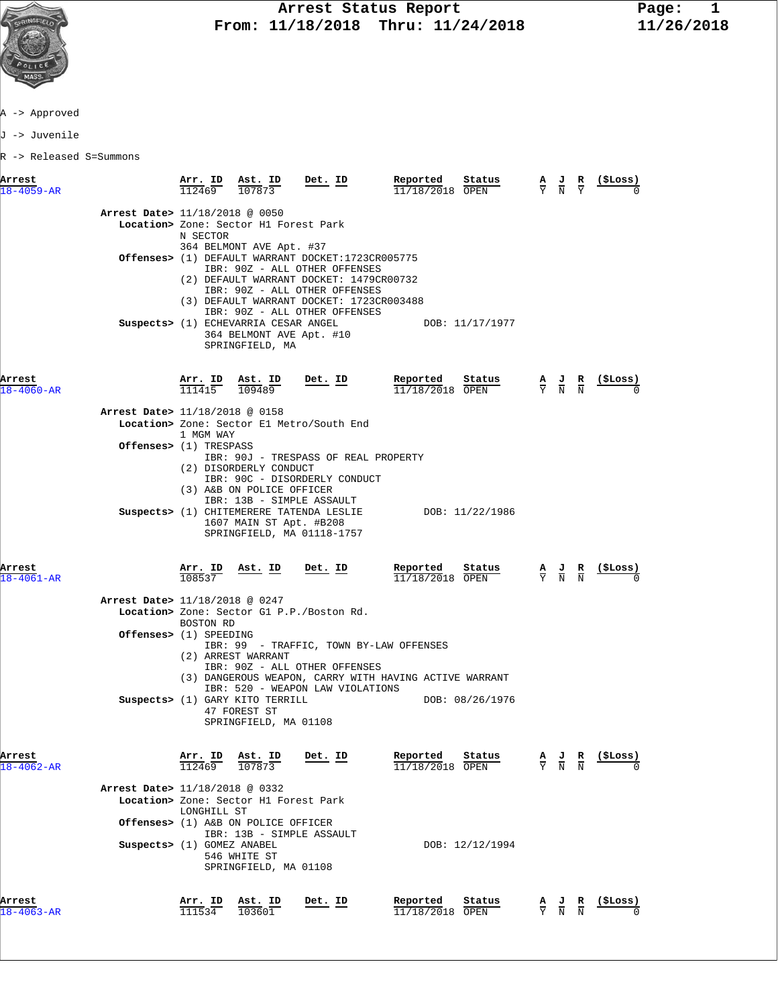

A -> Approved

J -> Juvenile

R -> Released S=Summons

| Arrest<br>$18 - 4059 - AR$ |                                          | Arr. ID<br>112469              | Ast. ID<br>107873                                                                                         | Det. ID                                                                                                                                                                                                                                     | Reported<br>11/18/2018 OPEN                              | Status          |             | $\frac{\mathbf{A}}{\mathbf{Y}}$ $\frac{\mathbf{J}}{\mathbf{N}}$                                 | $\frac{R}{Y}$           | (\$Loss)       |
|----------------------------|------------------------------------------|--------------------------------|-----------------------------------------------------------------------------------------------------------|---------------------------------------------------------------------------------------------------------------------------------------------------------------------------------------------------------------------------------------------|----------------------------------------------------------|-----------------|-------------|-------------------------------------------------------------------------------------------------|-------------------------|----------------|
|                            | <b>Arrest Date&gt;</b> 11/18/2018 @ 0050 | N SECTOR                       | Location> Zone: Sector H1 Forest Park<br>364 BELMONT AVE Apt. #37                                         |                                                                                                                                                                                                                                             |                                                          |                 |             |                                                                                                 |                         |                |
|                            |                                          |                                |                                                                                                           | Offenses> (1) DEFAULT WARRANT DOCKET:1723CR005775<br>IBR: 90Z - ALL OTHER OFFENSES<br>(2) DEFAULT WARRANT DOCKET: 1479CR00732<br>IBR: 90Z - ALL OTHER OFFENSES<br>(3) DEFAULT WARRANT DOCKET: 1723CR003488<br>IBR: 90Z - ALL OTHER OFFENSES |                                                          |                 |             |                                                                                                 |                         |                |
|                            |                                          |                                | Suspects> (1) ECHEVARRIA CESAR ANGEL<br>364 BELMONT AVE Apt. #10<br>SPRINGFIELD, MA                       |                                                                                                                                                                                                                                             |                                                          | DOB: 11/17/1977 |             |                                                                                                 |                         |                |
| Arrest<br>$18 - 4060 - AR$ |                                          | <u>Arr. ID</u><br>111415       | $\frac{\texttt{Ast. ID}}{109489}$                                                                         | <u>Det. ID</u>                                                                                                                                                                                                                              | Reported<br>11/18/2018 OPEN                              | Status          |             | $\frac{A}{Y}$ $\frac{J}{N}$ $\frac{R}{N}$                                                       |                         | <u>(SLoss)</u> |
|                            | Arrest Date> 11/18/2018 @ 0158           | 1 MGM WAY                      |                                                                                                           | Location> Zone: Sector El Metro/South End                                                                                                                                                                                                   |                                                          |                 |             |                                                                                                 |                         |                |
|                            | <b>Offenses&gt;</b> (1) TRESPASS         |                                | (2) DISORDERLY CONDUCT<br>(3) A&B ON POLICE OFFICER<br>IBR: 13B - SIMPLE ASSAULT                          | IBR: 90J - TRESPASS OF REAL PROPERTY<br>IBR: 90C - DISORDERLY CONDUCT                                                                                                                                                                       |                                                          |                 |             |                                                                                                 |                         |                |
|                            |                                          |                                | 1607 MAIN ST Apt. #B208                                                                                   | SPRINGFIELD, MA 01118-1757                                                                                                                                                                                                                  | Suspects> (1) CHITEMERERE TATENDA LESLIE DOB: 11/22/1986 |                 |             |                                                                                                 |                         |                |
| Arrest<br>$18 - 4061 - AR$ |                                          | $\frac{\texttt{Arr.}}{108537}$ | <u>Ast. ID</u>                                                                                            | Det. ID                                                                                                                                                                                                                                     | Reported<br>$11/18/2018$ OPEN                            | Status          |             | $\frac{\mathbf{A}}{\mathbf{Y}}$ $\frac{\mathbf{J}}{\mathbf{N}}$ $\frac{\mathbf{R}}{\mathbf{N}}$ |                         |                |
|                            | Arrest Date> 11/18/2018 @ 0247           | BOSTON RD                      |                                                                                                           | Location> Zone: Sector G1 P.P./Boston Rd.                                                                                                                                                                                                   |                                                          |                 |             |                                                                                                 |                         |                |
|                            | Offenses> (1) SPEEDING                   |                                | (2) ARREST WARRANT                                                                                        | IBR: 99 - TRAFFIC, TOWN BY-LAW OFFENSES<br>IBR: 90Z - ALL OTHER OFFENSES                                                                                                                                                                    | (3) DANGEROUS WEAPON, CARRY WITH HAVING ACTIVE WARRANT   |                 |             |                                                                                                 |                         |                |
|                            |                                          |                                | Suspects> (1) GARY KITO TERRILL<br>47 FOREST ST<br>SPRINGFIELD, MA 01108                                  | IBR: 520 - WEAPON LAW VIOLATIONS                                                                                                                                                                                                            |                                                          | DOB: 08/26/1976 |             |                                                                                                 |                         |                |
| Arrest<br>18-4062-AR       |                                          | $\frac{\texttt{Arr.}}{112469}$ | Ast. ID                                                                                                   | Det. ID                                                                                                                                                                                                                                     | Reported<br>/18/2018                                     | Status<br>OPEN  | $rac{A}{Y}$ | $\frac{J}{N}$                                                                                   | $\frac{R}{N}$           | (ŞLoss)        |
|                            | Arrest Date> 11/18/2018 @ 0332           | LONGHILL ST                    | Location> Zone: Sector H1 Forest Park<br>Offenses> (1) A&B ON POLICE OFFICER<br>IBR: 13B - SIMPLE ASSAULT |                                                                                                                                                                                                                                             |                                                          |                 |             |                                                                                                 |                         |                |
|                            | Suspects> (1) GOMEZ ANABEL               |                                | 546 WHITE ST<br>SPRINGFIELD, MA 01108                                                                     |                                                                                                                                                                                                                                             |                                                          | DOB: 12/12/1994 |             |                                                                                                 |                         |                |
| Arrest<br>18-4063-AR       |                                          | Arr. ID<br>111534              | Ast. ID<br>103601                                                                                         | Det. ID                                                                                                                                                                                                                                     | Reported<br>11/18/2018 OPEN                              | Status          |             | $\frac{J}{N}$                                                                                   | R<br>$\overline{\rm N}$ | (ŞLoss)        |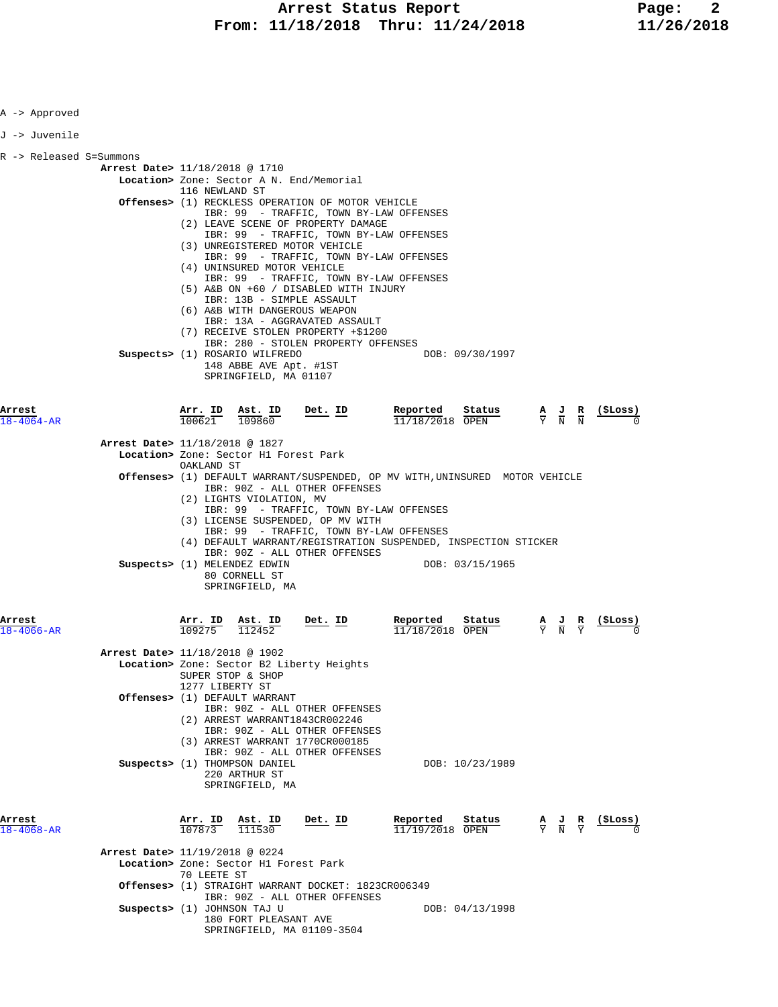| A -> Approved              |                                |                                           |                                                                                   |                                                                                                                                                                                                                                                                                                                                                                                                                                                                    |                                             |                                         |                                                                                                 |                                                               |
|----------------------------|--------------------------------|-------------------------------------------|-----------------------------------------------------------------------------------|--------------------------------------------------------------------------------------------------------------------------------------------------------------------------------------------------------------------------------------------------------------------------------------------------------------------------------------------------------------------------------------------------------------------------------------------------------------------|---------------------------------------------|-----------------------------------------|-------------------------------------------------------------------------------------------------|---------------------------------------------------------------|
| J -> Juvenile              |                                |                                           |                                                                                   |                                                                                                                                                                                                                                                                                                                                                                                                                                                                    |                                             |                                         |                                                                                                 |                                                               |
| R -> Released S=Summons    | Arrest Date> 11/18/2018 @ 1710 | 116 NEWLAND ST                            | (4) UNINSURED MOTOR VEHICLE                                                       | Location> Zone: Sector A N. End/Memorial<br><b>Offenses&gt;</b> (1) RECKLESS OPERATION OF MOTOR VEHICLE<br>IBR: 99 - TRAFFIC, TOWN BY-LAW OFFENSES<br>(2) LEAVE SCENE OF PROPERTY DAMAGE<br>IBR: 99 - TRAFFIC, TOWN BY-LAW OFFENSES<br>(3) UNREGISTERED MOTOR VEHICLE<br>IBR: 99 - TRAFFIC, TOWN BY-LAW OFFENSES<br>IBR: 99 - TRAFFIC, TOWN BY-LAW OFFENSES<br>(5) A&B ON +60 / DISABLED WITH INJURY<br>IBR: 13B - SIMPLE ASSAULT<br>(6) A&B WITH DANGEROUS WEAPON |                                             |                                         |                                                                                                 |                                                               |
|                            |                                |                                           | Suspects> (1) ROSARIO WILFREDO<br>148 ABBE AVE Apt. #1ST<br>SPRINGFIELD, MA 01107 | IBR: 13A - AGGRAVATED ASSAULT<br>(7) RECEIVE STOLEN PROPERTY +\$1200<br>IBR: 280 - STOLEN PROPERTY OFFENSES                                                                                                                                                                                                                                                                                                                                                        |                                             | DOB: 09/30/1997                         |                                                                                                 |                                                               |
| Arrest<br>$18 - 4064 - AR$ |                                |                                           | $\frac{\texttt{Arr. ID}}{100621}$ $\frac{\texttt{ Ast. ID}}{109860}$ Det. ID      |                                                                                                                                                                                                                                                                                                                                                                                                                                                                    | $\frac{\text{Reported}}{11/18/2018}$ Status | $\frac{\texttt{Status}}{\texttt{Down}}$ |                                                                                                 | $\frac{A}{Y}$ $\frac{J}{N}$ $\frac{R}{N}$ $\frac{($Loss)}{0}$ |
|                            | Arrest Date> 11/18/2018 @ 1827 | OAKLAND ST                                | Location> Zone: Sector H1 Forest Park                                             |                                                                                                                                                                                                                                                                                                                                                                                                                                                                    |                                             |                                         |                                                                                                 |                                                               |
|                            |                                |                                           | (2) LIGHTS VIOLATION, MV                                                          | Offenses> (1) DEFAULT WARRANT/SUSPENDED, OP MV WITH, UNINSURED MOTOR VEHICLE<br>IBR: 90Z - ALL OTHER OFFENSES<br>IBR: 99 - TRAFFIC, TOWN BY-LAW OFFENSES<br>(3) LICENSE SUSPENDED, OP MV WITH                                                                                                                                                                                                                                                                      |                                             |                                         |                                                                                                 |                                                               |
|                            |                                |                                           | Suspects> (1) MELENDEZ EDWIN<br>80 CORNELL ST<br>SPRINGFIELD, MA                  | IBR: 99 - TRAFFIC, TOWN BY-LAW OFFENSES<br>(4) DEFAULT WARRANT/REGISTRATION SUSPENDED, INSPECTION STICKER<br>IBR: 90Z - ALL OTHER OFFENSES                                                                                                                                                                                                                                                                                                                         |                                             | DOB: 03/15/1965                         |                                                                                                 |                                                               |
| Arrest<br>$18 - 4066 - AR$ |                                | <u>Arr. ID</u><br>$\frac{109275}{109275}$ | <b>Ast. ID</b><br>112452                                                          | Det. ID                                                                                                                                                                                                                                                                                                                                                                                                                                                            | Reported<br>$11/18/2018$ OPEN               | Status                                  |                                                                                                 | $\frac{A}{Y}$ $\frac{J}{N}$ $\frac{R}{Y}$ (\$Loss)            |
|                            | Arrest Date> 11/18/2018 @ 1902 | 1277 LIBERTY ST                           | SUPER STOP & SHOP                                                                 | Location> Zone: Sector B2 Liberty Heights                                                                                                                                                                                                                                                                                                                                                                                                                          |                                             |                                         |                                                                                                 |                                                               |
|                            |                                |                                           | Offenses> (1) DEFAULT WARRANT                                                     | IBR: 90Z - ALL OTHER OFFENSES<br>(2) ARREST WARRANT1843CR002246<br>IBR: 90Z - ALL OTHER OFFENSES<br>(3) ARREST WARRANT 1770CR000185<br>IBR: 90Z - ALL OTHER OFFENSES                                                                                                                                                                                                                                                                                               |                                             |                                         |                                                                                                 |                                                               |
|                            |                                |                                           | Suspects> (1) THOMPSON DANIEL<br>220 ARTHUR ST<br>SPRINGFIELD, MA                 |                                                                                                                                                                                                                                                                                                                                                                                                                                                                    |                                             | DOB: 10/23/1989                         |                                                                                                 |                                                               |
| Arrest<br>18-4068-AR       |                                | Arr. ID<br>107873                         | $\frac{\texttt{Ast. ID}}{111530}$                                                 | <u>Det. ID</u>                                                                                                                                                                                                                                                                                                                                                                                                                                                     | Reported<br>11/19/2018 OPEN                 | Status                                  | $\frac{\mathbf{A}}{\mathbf{Y}}$ $\frac{\mathbf{J}}{\mathbf{N}}$ $\frac{\mathbf{R}}{\mathbf{Y}}$ | (ŞLoss)                                                       |
|                            | Arrest Date> 11/19/2018 @ 0224 | 70 LEETE ST                               | Location> Zone: Sector H1 Forest Park                                             |                                                                                                                                                                                                                                                                                                                                                                                                                                                                    |                                             |                                         |                                                                                                 |                                                               |
|                            | Suspects> (1) JOHNSON TAJ U    |                                           | 180 FORT PLEASANT AVE                                                             | Offenses> (1) STRAIGHT WARRANT DOCKET: 1823CR006349<br>IBR: 90Z - ALL OTHER OFFENSES<br>SPRINGFIELD, MA 01109-3504                                                                                                                                                                                                                                                                                                                                                 |                                             | DOB: 04/13/1998                         |                                                                                                 |                                                               |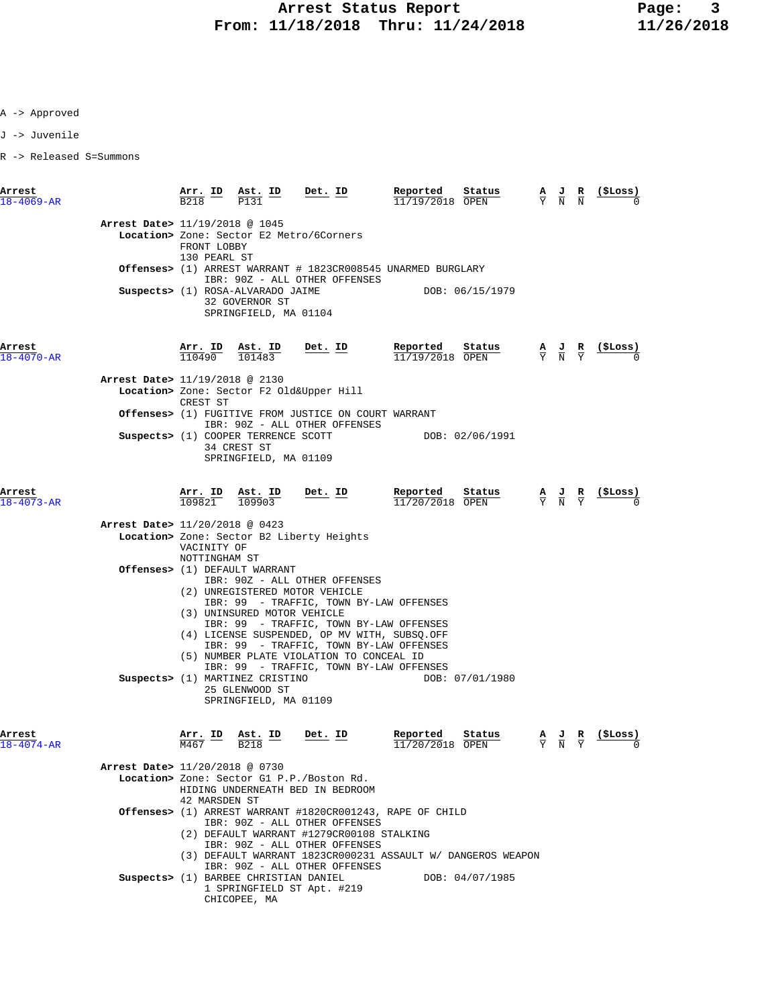A -> Approved

J -> Juvenile

R -> Released S=Summons

| Arrest<br>$18 - 4069 - AR$     | $\frac{\text{Arr. ID}}{\text{R218}}$<br>B <sub>218</sub>      | $\frac{\text{Ast. ID}}{\text{B4.34}}$<br>P131                                | <u>Det.</u> ID                                                                                                                                                                                        | Reported<br>Status<br>11/19/2018 OPEN                                          | $\frac{A}{Y}$ $\frac{J}{N}$ $\frac{R}{N}$                                                       | $(\xi Loss)$      |
|--------------------------------|---------------------------------------------------------------|------------------------------------------------------------------------------|-------------------------------------------------------------------------------------------------------------------------------------------------------------------------------------------------------|--------------------------------------------------------------------------------|-------------------------------------------------------------------------------------------------|-------------------|
| Arrest Date> 11/19/2018 @ 1045 | FRONT LOBBY<br>130 PEARL ST                                   |                                                                              | Location> Zone: Sector E2 Metro/6Corners                                                                                                                                                              |                                                                                |                                                                                                 |                   |
|                                |                                                               |                                                                              |                                                                                                                                                                                                       | Offenses> (1) ARREST WARRANT # 1823CR008545 UNARMED BURGLARY                   |                                                                                                 |                   |
|                                |                                                               | Suspects> (1) ROSA-ALVARADO JAIME<br>32 GOVERNOR ST<br>SPRINGFIELD, MA 01104 | IBR: 90Z - ALL OTHER OFFENSES                                                                                                                                                                         | DOB: 06/15/1979                                                                |                                                                                                 |                   |
| Arrest<br>$18 - 4070 - AR$     |                                                               | $\frac{\text{Arr.}}{110490}$ $\frac{\text{Ast.}}{101483}$                    | <u>Det. ID</u>                                                                                                                                                                                        | Reported<br>Status<br>11/19/2018 OPEN                                          | $\frac{\mathbf{A}}{\mathbf{Y}}$ $\frac{\mathbf{J}}{\mathbf{N}}$ $\frac{\mathbf{R}}{\mathbf{Y}}$ |                   |
| Arrest Date> 11/19/2018 @ 2130 |                                                               |                                                                              | Location> Zone: Sector F2 Old&Upper Hill                                                                                                                                                              |                                                                                |                                                                                                 |                   |
|                                | CREST ST                                                      |                                                                              | <b>Offenses&gt;</b> (1) FUGITIVE FROM JUSTICE ON COURT WARRANT                                                                                                                                        |                                                                                |                                                                                                 |                   |
|                                |                                                               | Suspects> (1) COOPER TERRENCE SCOTT<br>34 CREST ST<br>SPRINGFIELD, MA 01109  | IBR: 90Z - ALL OTHER OFFENSES                                                                                                                                                                         | DOB: 02/06/1991                                                                |                                                                                                 |                   |
| Arrest<br>$18 - 4073 - AR$     | <b>Arr. ID</b><br>109821                                      | $\frac{\texttt{Ast. ID}}{109903}$                                            | <u>Det. ID</u>                                                                                                                                                                                        | Reported<br>Status<br>$11/20/2018$ OPEN                                        | $\frac{A}{Y}$ $\frac{J}{N}$ $\frac{R}{Y}$                                                       |                   |
| Arrest Date> 11/20/2018 @ 0423 | VACINITY OF<br>NOTTINGHAM ST                                  |                                                                              | Location> Zone: Sector B2 Liberty Heights                                                                                                                                                             |                                                                                |                                                                                                 |                   |
|                                |                                                               | Offenses> (1) DEFAULT WARRANT<br>(3) UNINSURED MOTOR VEHICLE                 | IBR: 90Z - ALL OTHER OFFENSES<br>(2) UNREGISTERED MOTOR VEHICLE<br>IBR: 99 - TRAFFIC, TOWN BY-LAW OFFENSES<br>IBR: 99 - TRAFFIC, TOWN BY-LAW OFFENSES<br>(4) LICENSE SUSPENDED, OP MV WITH, SUBSQ.OFF |                                                                                |                                                                                                 |                   |
|                                |                                                               | Suspects> (1) MARTINEZ CRISTINO<br>25 GLENWOOD ST<br>SPRINGFIELD, MA 01109   | IBR: 99 - TRAFFIC, TOWN BY-LAW OFFENSES<br>(5) NUMBER PLATE VIOLATION TO CONCEAL ID<br>IBR: 99 - TRAFFIC, TOWN BY-LAW OFFENSES                                                                        | DOB: 07/01/1980                                                                |                                                                                                 |                   |
| Arrest<br>$18 - 4074 - AR$     | $\frac{\texttt{Arr.}}{\texttt{M467}}$ ID<br>$\overline{M467}$ | <u>Ast. ID</u><br><b>B218</b>                                                | <u>Det. ID</u>                                                                                                                                                                                        | Reported<br>Status<br>11/20/2018 OPEN                                          | $\frac{\mathbf{A}}{\mathbf{Y}}$ $\frac{\mathbf{J}}{\mathbf{N}}$ $\frac{\mathbf{R}}{\mathbf{Y}}$ | <u>( SLos</u> s ) |
| Arrest Date> 11/20/2018 @ 0730 | 42 MARSDEN ST                                                 |                                                                              | Location> Zone: Sector G1 P.P./Boston Rd.<br>HIDING UNDERNEATH BED IN BEDROOM                                                                                                                         |                                                                                |                                                                                                 |                   |
|                                |                                                               |                                                                              | IBR: 90Z - ALL OTHER OFFENSES<br>(2) DEFAULT WARRANT #1279CR00108 STALKING<br>IBR: 90Z - ALL OTHER OFFENSES                                                                                           | Offenses> (1) ARREST WARRANT #1820CR001243, RAPE OF CHILD                      |                                                                                                 |                   |
|                                |                                                               | Suspects> (1) BARBEE CHRISTIAN DANIEL<br>CHICOPEE, MA                        | IBR: 90Z - ALL OTHER OFFENSES<br>1 SPRINGFIELD ST Apt. #219                                                                                                                                           | (3) DEFAULT WARRANT 1823CR000231 ASSAULT W/ DANGEROS WEAPON<br>DOB: 04/07/1985 |                                                                                                 |                   |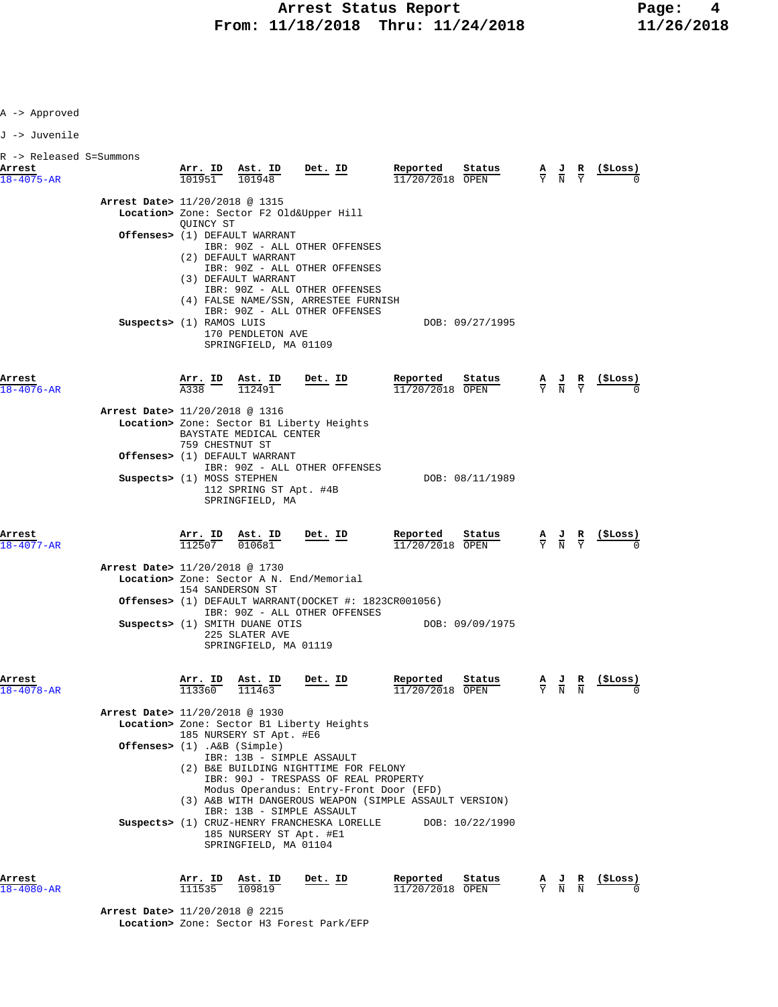A -> Approved

J -> Juvenile

| R -> Released S=Summons<br>Arrest<br>$18 - 4075 - AR$ |                                                               |                          | $\frac{\texttt{Arr. ID}}{101951}$ $\frac{\texttt{Ast. ID}}{101948}$                                                       | $\frac{\text{Det. ID}}{\text{Det. ID}}$                                                                                                                                                                                                                                                                                                                             | Reported<br>$11/20/2018$ OPEN | Status          | $\frac{A}{Y}$ $\frac{J}{N}$ $\frac{R}{Y}$                                                       |               | $($ \$Loss)                                        |
|-------------------------------------------------------|---------------------------------------------------------------|--------------------------|---------------------------------------------------------------------------------------------------------------------------|---------------------------------------------------------------------------------------------------------------------------------------------------------------------------------------------------------------------------------------------------------------------------------------------------------------------------------------------------------------------|-------------------------------|-----------------|-------------------------------------------------------------------------------------------------|---------------|----------------------------------------------------|
|                                                       | Arrest Date> 11/20/2018 @ 1315<br>Suspects> (1) RAMOS LUIS    | QUINCY ST                | Offenses> (1) DEFAULT WARRANT<br>(2) DEFAULT WARRANT<br>(3) DEFAULT WARRANT<br>170 PENDLETON AVE<br>SPRINGFIELD, MA 01109 | Location> Zone: Sector F2 Old&Upper Hill<br>IBR: 90Z - ALL OTHER OFFENSES<br>IBR: 90Z - ALL OTHER OFFENSES<br>IBR: 90Z - ALL OTHER OFFENSES<br>(4) FALSE NAME/SSN, ARRESTEE FURNISH<br>IBR: 90Z - ALL OTHER OFFENSES                                                                                                                                                |                               | DOB: 09/27/1995 |                                                                                                 |               |                                                    |
| Arrest<br>$18 - 4076 - AR$                            | Arrest Date> 11/20/2018 @ 1316                                |                          | $\frac{\texttt{Arr.}}{\texttt{A}338}$ $\frac{\texttt{ID}}{1}$ $\frac{\texttt{Ast.}}{112491}$                              | <u>Det. ID</u>                                                                                                                                                                                                                                                                                                                                                      | Reported<br>11/20/2018 OPEN   | Status          | $\frac{A}{Y}$ $\frac{J}{N}$ $\frac{R}{Y}$                                                       |               |                                                    |
|                                                       | Suspects> (1) MOSS STEPHEN                                    | 759 CHESTNUT ST          | BAYSTATE MEDICAL CENTER<br>Offenses> (1) DEFAULT WARRANT                                                                  | Location> Zone: Sector B1 Liberty Heights<br>IBR: 90Z - ALL OTHER OFFENSES                                                                                                                                                                                                                                                                                          |                               | DOB: 08/11/1989 |                                                                                                 |               |                                                    |
| Arrest                                                |                                                               |                          | 112 SPRING ST Apt. #4B<br>SPRINGFIELD, MA<br>$\frac{\texttt{Arr. ID}}{112507}$ $\frac{\texttt{Ast. ID}}{010681}$          | $Det. ID$                                                                                                                                                                                                                                                                                                                                                           | Reported                      | Status          |                                                                                                 |               | $\frac{A}{Y}$ $\frac{J}{N}$ $\frac{R}{Y}$ (\$Loss) |
| $18 - 4077 - AR$                                      | Arrest Date> 11/20/2018 @ 1730                                | 154 SANDERSON ST         | Suspects> (1) SMITH DUANE OTIS<br>225 SLATER AVE<br>SPRINGFIELD, MA 01119                                                 | Location> Zone: Sector A N. End/Memorial<br><b>Offenses&gt;</b> (1) DEFAULT WARRANT(DOCKET #: $1823CR001056$ )<br>IBR: 90Z - ALL OTHER OFFENSES                                                                                                                                                                                                                     | $11/20/2018$ OPEN             | DOB: 09/09/1975 |                                                                                                 |               |                                                    |
| Arrest<br>$18 - 4078 - AR$                            | Arrest Date> 11/20/2018 @ 1930<br>Offenses> (1) .A&B (Simple) | <b>Arr. ID</b><br>113360 | $\frac{\text{Ast.}}{111463}$<br>185 NURSERY ST Apt. #E6<br>185 NURSERY ST Apt. #E1<br>SPRINGFIELD, MA 01104               | Det. ID<br>Location> Zone: Sector B1 Liberty Heights<br>IBR: 13B - SIMPLE ASSAULT<br>(2) B&E BUILDING NIGHTTIME FOR FELONY<br>IBR: 90J - TRESPASS OF REAL PROPERTY<br>Modus Operandus: Entry-Front Door (EFD)<br>(3) A&B WITH DANGEROUS WEAPON (SIMPLE ASSAULT VERSION)<br>IBR: 13B - SIMPLE ASSAULT<br>Suspects> (1) CRUZ-HENRY FRANCHESKA LORELLE DOB: 10/22/1990 | Reported<br>$11/20/2018$ OPEN | Status          | $\frac{A}{Y}$ $\frac{J}{N}$                                                                     | $\frac{R}{N}$ |                                                    |
| Arrest<br>18-4080-AR                                  |                                                               | Arr. ID<br>111535        | Ast. ID<br>109819                                                                                                         | Det. ID                                                                                                                                                                                                                                                                                                                                                             | Reported<br>11/20/2018 OPEN   | Status          | $\frac{\mathbf{A}}{\mathbf{Y}}$ $\frac{\mathbf{J}}{\mathbf{N}}$ $\frac{\mathbf{R}}{\mathbf{N}}$ |               | (\$Loss)                                           |

 **Arrest Date>** 11/20/2018 @ 2215  **Location>** Zone: Sector H3 Forest Park/EFP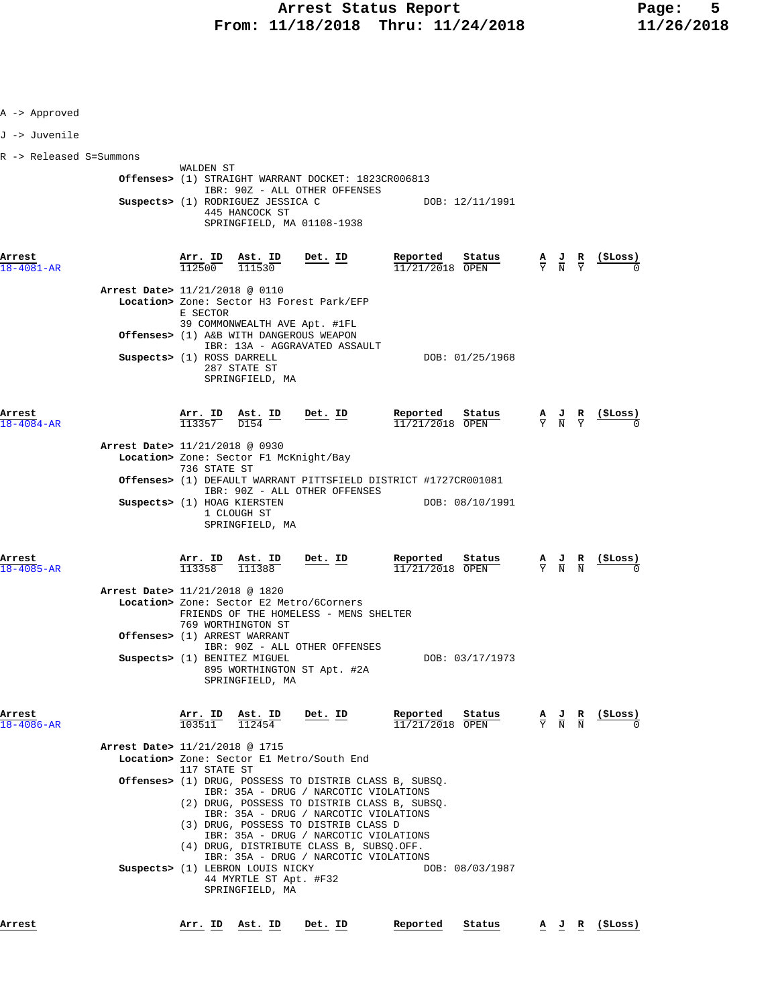| A -> Approved                  |                             |                                                                                    |                                                                                                                                                                                                                                                      |                                                                                                                                           |                                           |                                                               |
|--------------------------------|-----------------------------|------------------------------------------------------------------------------------|------------------------------------------------------------------------------------------------------------------------------------------------------------------------------------------------------------------------------------------------------|-------------------------------------------------------------------------------------------------------------------------------------------|-------------------------------------------|---------------------------------------------------------------|
| J -> Juvenile                  |                             |                                                                                    |                                                                                                                                                                                                                                                      |                                                                                                                                           |                                           |                                                               |
| R -> Released S=Summons        |                             |                                                                                    |                                                                                                                                                                                                                                                      |                                                                                                                                           |                                           |                                                               |
|                                | WALDEN ST                   | Suspects> (1) RODRIGUEZ JESSICA C<br>445 HANCOCK ST                                | Offenses> (1) STRAIGHT WARRANT DOCKET: 1823CR006813<br>IBR: 90Z - ALL OTHER OFFENSES<br>SPRINGFIELD, MA 01108-1938                                                                                                                                   | DOB: 12/11/1991                                                                                                                           |                                           |                                                               |
| Arrest<br>18-4081-AR           |                             | $\frac{\texttt{Arr.}}{112500}$ $\frac{\texttt{ Ast.}}{111530}$                     | Det. ID                                                                                                                                                                                                                                              | Reported<br>$\frac{\text{status}}{\text{OPEN}}$ $\frac{A}{Y}$ $\frac{J}{N}$ $\frac{R}{Y}$ $\frac{(\text{SLoss})}{0}$<br>$11/21/2018$ OPEN |                                           |                                                               |
| Arrest Date> 11/21/2018 @ 0110 | E SECTOR                    |                                                                                    | Location> Zone: Sector H3 Forest Park/EFP<br>39 COMMONWEALTH AVE Apt. #1FL                                                                                                                                                                           |                                                                                                                                           |                                           |                                                               |
|                                | Suspects> (1) ROSS DARRELL  | 287 STATE ST<br>SPRINGFIELD, MA                                                    | Offenses> (1) A&B WITH DANGEROUS WEAPON<br>IBR: 13A - AGGRAVATED ASSAULT                                                                                                                                                                             | DOB: 01/25/1968                                                                                                                           |                                           |                                                               |
| Arrest<br>$18 - 4084 - AR$     |                             | $\frac{\texttt{Arr.}}{113357}$ $\frac{\texttt{Ab.}}{D154}$ $\frac{\texttt{ID}}{D}$ | $Det$ . ID                                                                                                                                                                                                                                           | Reported<br>Status<br>$11/21/2018$ OPEN                                                                                                   | $\frac{A}{Y}$ $\frac{J}{N}$ $\frac{R}{Y}$ | (ŞLoss)                                                       |
| Arrest Date> 11/21/2018 @ 0930 | 736 STATE ST                | Location> Zone: Sector F1 McKnight/Bay                                             |                                                                                                                                                                                                                                                      | Offenses> (1) DEFAULT WARRANT PITTSFIELD DISTRICT #1727CR001081                                                                           |                                           |                                                               |
|                                | Suspects> (1) HOAG KIERSTEN | 1 CLOUGH ST<br>SPRINGFIELD, MA                                                     | IBR: 90Z - ALL OTHER OFFENSES                                                                                                                                                                                                                        | DOB: 08/10/1991                                                                                                                           |                                           |                                                               |
| Arrest<br>18-4085-AR           | Arr. ID<br>113358           | Ast. ID<br>111388                                                                  | Det. ID                                                                                                                                                                                                                                              | Reported<br>Status<br>$11/21/2018$ OPEN                                                                                                   | $\frac{A}{Y}$ $\frac{J}{N}$               | (\$Loss)                                                      |
| Arrest Date> 11/21/2018 @ 1820 |                             | 769 WORTHINGTON ST                                                                 | Location> Zone: Sector E2 Metro/6Corners<br>FRIENDS OF THE HOMELESS - MENS SHELTER                                                                                                                                                                   |                                                                                                                                           |                                           |                                                               |
|                                |                             | Offenses> (1) ARREST WARRANT<br>Suspects> (1) BENITEZ MIGUEL<br>SPRINGFIELD, MA    | IBR: 90Z - ALL OTHER OFFENSES<br>895 WORTHINGTON ST Apt. #2A                                                                                                                                                                                         | DOB: 03/17/1973                                                                                                                           |                                           |                                                               |
| Arrest<br>$18 - 4086 - AR$     | Arr. ID<br>103511           | Ast. ID<br>112454                                                                  | Det. ID                                                                                                                                                                                                                                              | Reported<br>Status<br>11/21/2018 OPEN                                                                                                     |                                           | $\frac{A}{Y}$ $\frac{J}{N}$ $\frac{R}{N}$ $\frac{($Loss)}{0}$ |
| Arrest Date> 11/21/2018 @ 1715 | 117 STATE ST                |                                                                                    | Location> Zone: Sector El Metro/South End                                                                                                                                                                                                            |                                                                                                                                           |                                           |                                                               |
|                                |                             | Suspects> (1) LEBRON LOUIS NICKY<br>44 MYRTLE ST Apt. #F32                         | IBR: 35A - DRUG / NARCOTIC VIOLATIONS<br>IBR: 35A - DRUG / NARCOTIC VIOLATIONS<br>(3) DRUG, POSSESS TO DISTRIB CLASS D<br>IBR: 35A - DRUG / NARCOTIC VIOLATIONS<br>(4) DRUG, DISTRIBUTE CLASS B, SUBSQ.OFF.<br>IBR: 35A - DRUG / NARCOTIC VIOLATIONS | Offenses> (1) DRUG, POSSESS TO DISTRIB CLASS B, SUBSO.<br>(2) DRUG, POSSESS TO DISTRIB CLASS B, SUBSQ.<br>DOB: 08/03/1987                 |                                           |                                                               |
| Arrest                         |                             | SPRINGFIELD, MA<br><u>Arr. ID Ast. ID</u>                                          | <u>Det. ID</u>                                                                                                                                                                                                                                       | Status<br>Reported                                                                                                                        |                                           | $\underline{A}$ <u>J</u> R (\$Loss)                           |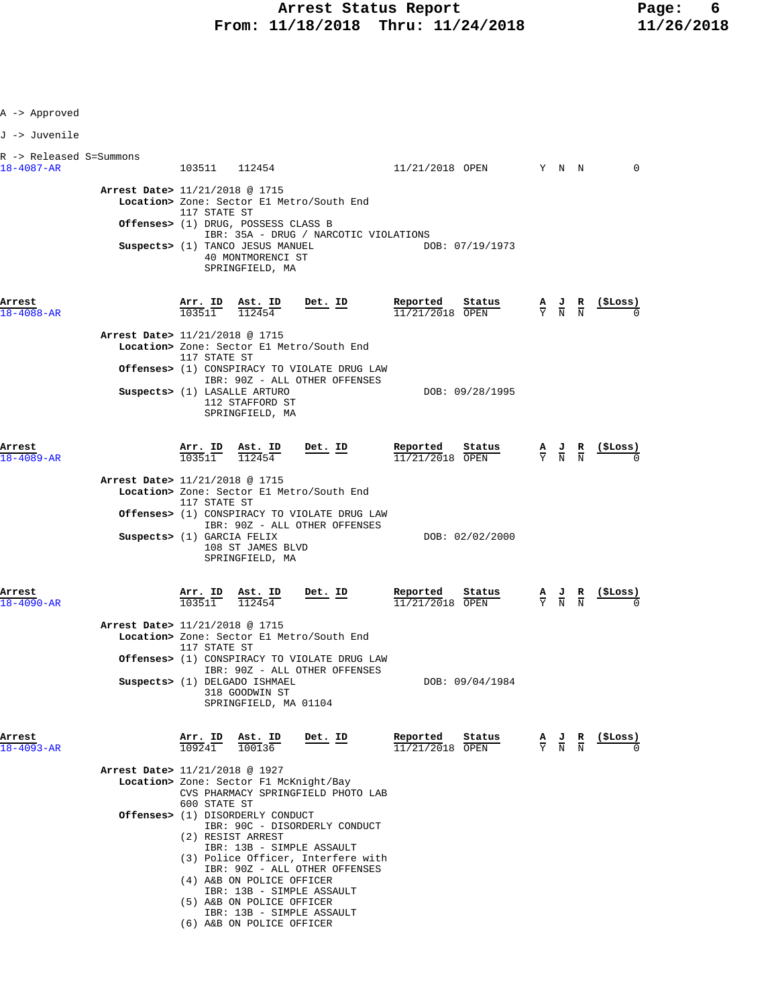| A -> Approved                                                |                        |                                                                                                                                                        |                                                                                                                                                                                                                                   |                                         |                                                                                                 |                                           |                                                    |
|--------------------------------------------------------------|------------------------|--------------------------------------------------------------------------------------------------------------------------------------------------------|-----------------------------------------------------------------------------------------------------------------------------------------------------------------------------------------------------------------------------------|-----------------------------------------|-------------------------------------------------------------------------------------------------|-------------------------------------------|----------------------------------------------------|
| J -> Juvenile                                                |                        |                                                                                                                                                        |                                                                                                                                                                                                                                   |                                         |                                                                                                 |                                           |                                                    |
| R -> Released S=Summons<br>$18 - 4087 - AR$                  |                        | 103511 112454                                                                                                                                          |                                                                                                                                                                                                                                   | 11/21/2018 OPEN Y N N                   |                                                                                                 |                                           | $\overline{0}$                                     |
| Arrest Date> 11/21/2018 @ 1715                               | 117 STATE ST           | Offenses> (1) DRUG, POSSESS CLASS B<br>Suspects> (1) TANCO JESUS MANUEL<br>40 MONTMORENCI ST<br>SPRINGFIELD, MA                                        | Location> Zone: Sector El Metro/South End<br>IBR: 35A - DRUG / NARCOTIC VIOLATIONS                                                                                                                                                | DOB: 07/19/1973                         |                                                                                                 |                                           |                                                    |
| Arrest<br>$18 - 4088 - AR$<br>Arrest Date> 11/21/2018 @ 1715 |                        | $\frac{\text{Arr. ID}}{103511}$ $\frac{\text{Ast. ID}}{112454}$                                                                                        | Det. ID                                                                                                                                                                                                                           | Reported<br>Status<br>$11/21/2018$ OPEN | $\frac{\mathbf{A}}{\mathbf{Y}}$ $\frac{\mathbf{J}}{\mathbf{N}}$ $\frac{\mathbf{R}}{\mathbf{N}}$ |                                           | $\frac{1}{2}$                                      |
|                                                              | 117 STATE ST           | Suspects> (1) LASALLE ARTURO                                                                                                                           | Location> Zone: Sector El Metro/South End<br><b>Offenses&gt;</b> (1) CONSPIRACY TO VIOLATE DRUG LAW<br>IBR: 90Z - ALL OTHER OFFENSES                                                                                              | DOB: 09/28/1995                         |                                                                                                 |                                           |                                                    |
| Arrest                                                       |                        | 112 STAFFORD ST<br>SPRINGFIELD, MA                                                                                                                     |                                                                                                                                                                                                                                   |                                         |                                                                                                 |                                           |                                                    |
| $18 - 4089 - AR$<br>Arrest Date> 11/21/2018 @ 1715           | 117 STATE ST           | $\frac{\text{Arr.}}{103511}$ $\frac{\text{Ast.}}{112454}$                                                                                              | Det. ID<br>Location> Zone: Sector El Metro/South End<br><b>Offenses&gt;</b> (1) CONSPIRACY TO VIOLATE DRUG LAW                                                                                                                    | Reported<br>Status<br>$11/21/2018$ OPEN |                                                                                                 |                                           | $\frac{A}{Y}$ $\frac{J}{N}$ $\frac{R}{N}$ (\$Loss) |
| Suspects> (1) GARCIA FELIX                                   |                        | 108 ST JAMES BLVD<br>SPRINGFIELD, MA                                                                                                                   | IBR: 90Z - ALL OTHER OFFENSES                                                                                                                                                                                                     | DOB: 02/02/2000                         |                                                                                                 |                                           |                                                    |
| Arrest<br>$18 - 4090 - AR$<br>Arrest Date> 11/21/2018 @ 1715 | 103511<br>117 STATE ST | <u>Arr. ID Ast. ID</u><br>112454                                                                                                                       | Det. ID<br>Location> Zone: Sector El Metro/South End<br>Offenses> (1) CONSPIRACY TO VIOLATE DRUG LAW                                                                                                                              | Reported<br>Status<br>11/21/2018 OPEN   |                                                                                                 | $\frac{A}{Y}$ $\frac{J}{N}$ $\frac{R}{N}$ | <u>(ŞLOSS)</u>                                     |
|                                                              |                        | Suspects> (1) DELGADO ISHMAEL<br>318 GOODWIN ST<br>SPRINGFIELD, MA 01104                                                                               | IBR: 90Z - ALL OTHER OFFENSES                                                                                                                                                                                                     | DOB: 09/04/1984                         |                                                                                                 |                                           |                                                    |
| Arrest<br>$18 - 4093 - AR$<br>Arrest Date> 11/21/2018 @ 1927 | Arr. ID<br>109241      | Ast. ID<br>100136<br>Location> Zone: Sector F1 McKnight/Bay                                                                                            | <u>Det. ID</u>                                                                                                                                                                                                                    | Reported<br>Status<br>11/21/2018 OPEN   |                                                                                                 | $\frac{A}{Y}$ $\frac{J}{N}$ $\frac{R}{N}$ | (ŞLoss)                                            |
|                                                              | 600 STATE ST           | <b>Offenses&gt;</b> (1) DISORDERLY CONDUCT<br>(2) RESIST ARREST<br>(4) A&B ON POLICE OFFICER<br>(5) A&B ON POLICE OFFICER<br>(6) A&B ON POLICE OFFICER | CVS PHARMACY SPRINGFIELD PHOTO LAB<br>IBR: 90C - DISORDERLY CONDUCT<br>IBR: 13B - SIMPLE ASSAULT<br>(3) Police Officer, Interfere with<br>IBR: 90Z - ALL OTHER OFFENSES<br>IBR: 13B - SIMPLE ASSAULT<br>IBR: 13B - SIMPLE ASSAULT |                                         |                                                                                                 |                                           |                                                    |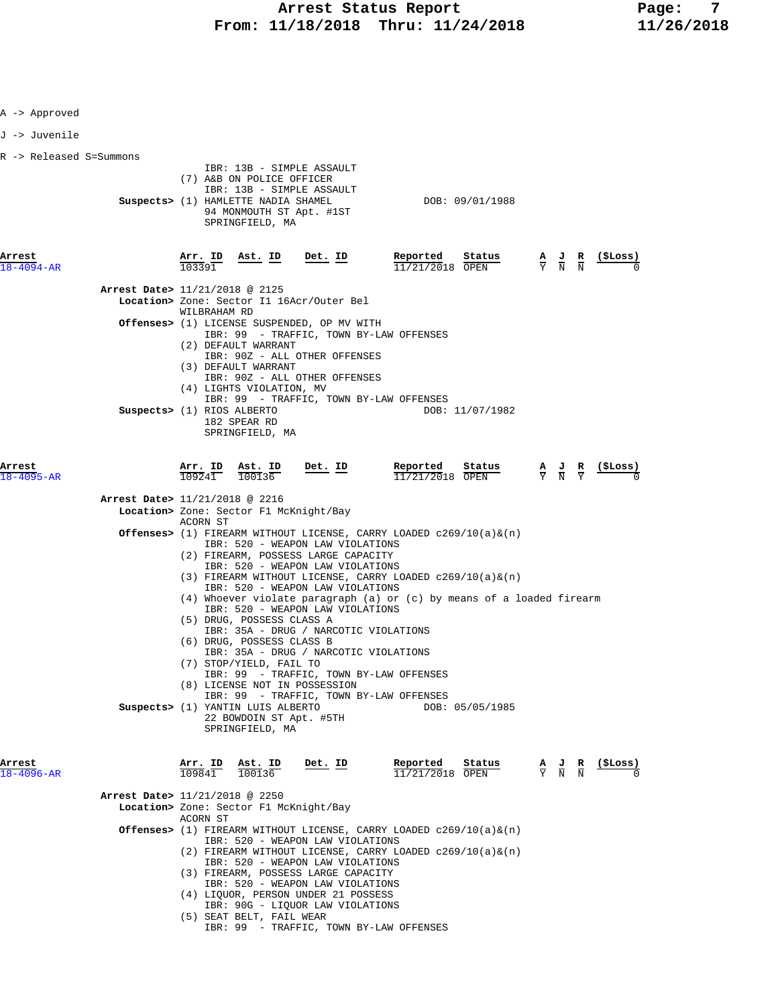| A -> Approved              |                                |                                |                                                                                                                                                                                                                            |                 |                                                                                                                                                    |                                                                                        |                                                                                                 |                                                                                                 |                                     |
|----------------------------|--------------------------------|--------------------------------|----------------------------------------------------------------------------------------------------------------------------------------------------------------------------------------------------------------------------|-----------------|----------------------------------------------------------------------------------------------------------------------------------------------------|----------------------------------------------------------------------------------------|-------------------------------------------------------------------------------------------------|-------------------------------------------------------------------------------------------------|-------------------------------------|
| J -> Juvenile              |                                |                                |                                                                                                                                                                                                                            |                 |                                                                                                                                                    |                                                                                        |                                                                                                 |                                                                                                 |                                     |
| R -> Released S=Summons    |                                |                                |                                                                                                                                                                                                                            |                 |                                                                                                                                                    |                                                                                        |                                                                                                 |                                                                                                 |                                     |
|                            |                                |                                | IBR: 13B - SIMPLE ASSAULT<br>(7) A&B ON POLICE OFFICER<br>IBR: 13B - SIMPLE ASSAULT<br>Suspects> (1) HAMLETTE NADIA SHAMEL<br>94 MONMOUTH ST Apt. #1ST<br>SPRINGFIELD, MA                                                  |                 |                                                                                                                                                    | DOB: 09/01/1988                                                                        |                                                                                                 |                                                                                                 |                                     |
| Arrest<br>18-4094-AR       |                                | <u>Arr. ID</u><br>103391       |                                                                                                                                                                                                                            | Ast. ID Det. ID | Reported<br>$11/21/2018$ OPEN                                                                                                                      | Status                                                                                 | $\frac{\mathbf{A}}{\mathbf{Y}}$ $\frac{\mathbf{J}}{\mathbf{N}}$ $\frac{\mathbf{R}}{\mathbf{N}}$ |                                                                                                 | $\frac{(\texttt{SLoss})}{\text{S}}$ |
|                            | Arrest Date> 11/21/2018 @ 2125 |                                |                                                                                                                                                                                                                            |                 |                                                                                                                                                    |                                                                                        |                                                                                                 |                                                                                                 |                                     |
|                            |                                | WILBRAHAM RD                   | Location> Zone: Sector I1 16Acr/Outer Bel                                                                                                                                                                                  |                 |                                                                                                                                                    |                                                                                        |                                                                                                 |                                                                                                 |                                     |
|                            |                                |                                | Offenses> (1) LICENSE SUSPENDED, OP MV WITH<br>IBR: 99 - TRAFFIC, TOWN BY-LAW OFFENSES<br>(2) DEFAULT WARRANT<br>IBR: 90Z - ALL OTHER OFFENSES<br>(3) DEFAULT WARRANT<br>IBR: 90Z - ALL OTHER OFFENSES                     |                 |                                                                                                                                                    |                                                                                        |                                                                                                 |                                                                                                 |                                     |
|                            | Suspects> (1) RIOS ALBERTO     |                                | (4) LIGHTS VIOLATION, MV<br>IBR: 99 - TRAFFIC, TOWN BY-LAW OFFENSES<br>182 SPEAR RD<br>SPRINGFIELD, MA                                                                                                                     |                 |                                                                                                                                                    | DOB: 11/07/1982                                                                        |                                                                                                 |                                                                                                 |                                     |
| Arrest<br>$18 - 4095 - AR$ |                                | $\frac{\texttt{Arr.}}{109241}$ | $\frac{\texttt{Ast.}}{100136}$                                                                                                                                                                                             | Det. ID         | Reported<br>11/21/2018 OPEN                                                                                                                        | $\frac{\text{Status}}{\text{OPEN}}$ $\frac{A}{Y}$ $\frac{J}{N}$ $\frac{R}{Y}$ (\$Loss) |                                                                                                 |                                                                                                 |                                     |
|                            | Arrest Date> 11/21/2018 @ 2216 |                                | Location> Zone: Sector F1 McKnight/Bay                                                                                                                                                                                     |                 |                                                                                                                                                    |                                                                                        |                                                                                                 |                                                                                                 |                                     |
|                            |                                | ACORN ST                       | IBR: 520 - WEAPON LAW VIOLATIONS<br>(2) FIREARM, POSSESS LARGE CAPACITY<br>IBR: 520 - WEAPON LAW VIOLATIONS<br>IBR: 520 - WEAPON LAW VIOLATIONS                                                                            |                 | <b>Offenses&gt;</b> (1) FIREARM WITHOUT LICENSE, CARRY LOADED $c269/10(a)\&(n)$<br>(3) FIREARM WITHOUT LICENSE, CARRY LOADED $c269/10(a) \&(n)$    |                                                                                        |                                                                                                 |                                                                                                 |                                     |
|                            |                                |                                | IBR: 520 - WEAPON LAW VIOLATIONS<br>(5) DRUG, POSSESS CLASS A<br>IBR: 35A - DRUG / NARCOTIC VIOLATIONS<br>(6) DRUG, POSSESS CLASS B<br>IBR: 35A - DRUG / NARCOTIC VIOLATIONS<br>(7) STOP/YIELD, FAIL TO                    |                 | $(4)$ Whoever violate paragraph $(a)$ or $(c)$ by means of a loaded firearm                                                                        |                                                                                        |                                                                                                 |                                                                                                 |                                     |
|                            |                                |                                | IBR: 99 - TRAFFIC, TOWN BY-LAW OFFENSES<br>(8) LICENSE NOT IN POSSESSION<br>IBR: 99 - TRAFFIC, TOWN BY-LAW OFFENSES<br>Suspects> (1) YANTIN LUIS ALBERTO<br>22 BOWDOIN ST Apt. #5TH                                        |                 |                                                                                                                                                    | DOB: 05/05/1985                                                                        |                                                                                                 |                                                                                                 |                                     |
| Arrest<br>18-4096-AR       |                                | Arr. ID<br>109841              | SPRINGFIELD, MA<br>Ast. ID<br>100136                                                                                                                                                                                       | <u>Det. ID</u>  | Reported<br>11/21/2018 OPEN                                                                                                                        | Status                                                                                 |                                                                                                 | $\frac{\mathbf{A}}{\mathbf{Y}}$ $\frac{\mathbf{J}}{\mathbf{N}}$ $\frac{\mathbf{R}}{\mathbf{N}}$ | (\$Loss)                            |
|                            | Arrest Date> 11/21/2018 @ 2250 |                                | Location> Zone: Sector F1 McKnight/Bay                                                                                                                                                                                     |                 |                                                                                                                                                    |                                                                                        |                                                                                                 |                                                                                                 |                                     |
|                            |                                | ACORN ST                       | IBR: 520 - WEAPON LAW VIOLATIONS<br>IBR: 520 - WEAPON LAW VIOLATIONS<br>(3) FIREARM, POSSESS LARGE CAPACITY<br>IBR: 520 - WEAPON LAW VIOLATIONS<br>(4) LIQUOR, PERSON UNDER 21 POSSESS<br>IBR: 90G - LIQUOR LAW VIOLATIONS |                 | <b>Offenses&gt;</b> (1) FIREARM WITHOUT LICENSE, CARRY LOADED $c269/10(a) \&(n)$<br>$(2)$ FIREARM WITHOUT LICENSE, CARRY LOADED $c269/10(a) \&(n)$ |                                                                                        |                                                                                                 |                                                                                                 |                                     |
|                            |                                |                                | (5) SEAT BELT, FAIL WEAR                                                                                                                                                                                                   |                 |                                                                                                                                                    |                                                                                        |                                                                                                 |                                                                                                 |                                     |

IBR: 99 - TRAFFIC, TOWN BY-LAW OFFENSES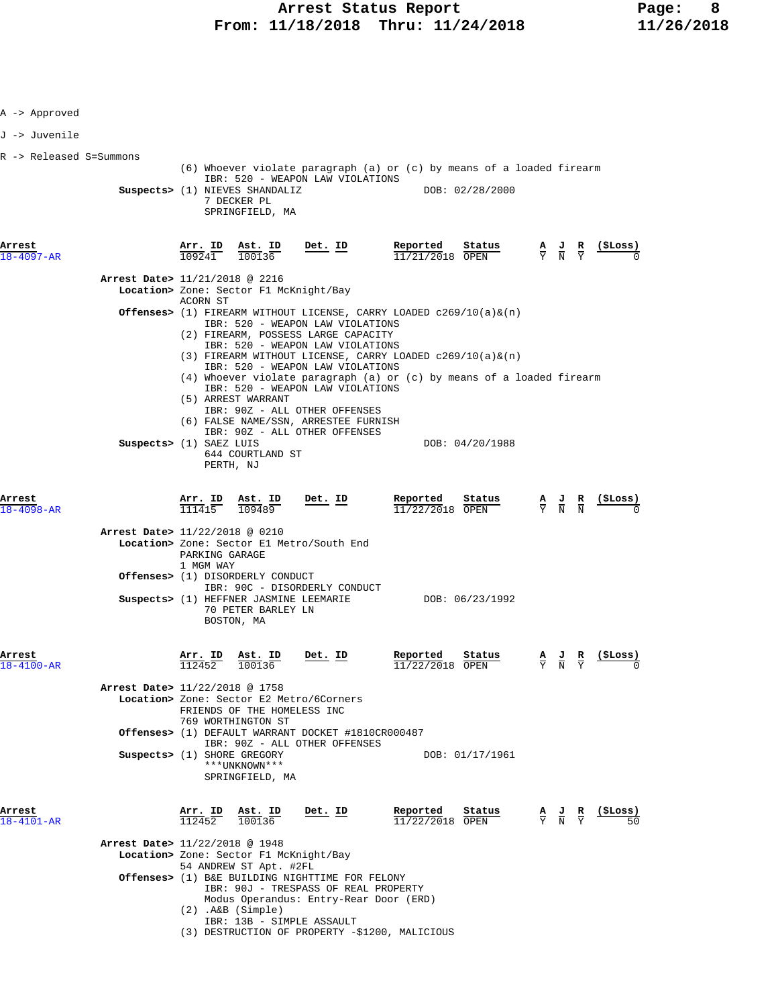| A -> Approved              |                                |                                 |                                                                                                                                                                                                                                                              |                |                                                                                                                                                  |                 |   |                                                                                                 |                         |
|----------------------------|--------------------------------|---------------------------------|--------------------------------------------------------------------------------------------------------------------------------------------------------------------------------------------------------------------------------------------------------------|----------------|--------------------------------------------------------------------------------------------------------------------------------------------------|-----------------|---|-------------------------------------------------------------------------------------------------|-------------------------|
| J -> Juvenile              |                                |                                 |                                                                                                                                                                                                                                                              |                |                                                                                                                                                  |                 |   |                                                                                                 |                         |
| R -> Released S=Summons    |                                |                                 | IBR: 520 - WEAPON LAW VIOLATIONS<br>Suspects> (1) NIEVES SHANDALIZ<br>7 DECKER PL<br>SPRINGFIELD, MA                                                                                                                                                         |                | (6) Whoever violate paragraph (a) or (c) by means of a loaded firearm                                                                            | DOB: 02/28/2000 |   |                                                                                                 |                         |
| Arrest<br>18-4097-AR       |                                | Arr. ID<br>$10924$ <sup>T</sup> | Ast. ID<br>100136                                                                                                                                                                                                                                            | Det. ID        | Reported<br>11/21/2018 OPEN                                                                                                                      | Status          |   | $\frac{\mathbf{A}}{\mathbf{Y}}$ $\frac{\mathbf{J}}{\mathbf{N}}$ $\frac{\mathbf{R}}{\mathbf{Y}}$ | (ŞLoss)                 |
|                            | Arrest Date> 11/21/2018 @ 2216 | ACORN ST                        | Location> Zone: Sector F1 McKnight/Bay                                                                                                                                                                                                                       |                |                                                                                                                                                  |                 |   |                                                                                                 |                         |
|                            |                                |                                 | IBR: 520 - WEAPON LAW VIOLATIONS<br>(2) FIREARM, POSSESS LARGE CAPACITY<br>IBR: 520 - WEAPON LAW VIOLATIONS<br>IBR: 520 - WEAPON LAW VIOLATIONS                                                                                                              |                | <b>Offenses&gt;</b> (1) FIREARM WITHOUT LICENSE, CARRY LOADED $c269/10(a) \&(n)$<br>(3) FIREARM WITHOUT LICENSE, CARRY LOADED $c269/10(a) \&(n)$ |                 |   |                                                                                                 |                         |
|                            | Suspects> (1) SAEZ LUIS        |                                 | IBR: 520 - WEAPON LAW VIOLATIONS<br>(5) ARREST WARRANT<br>IBR: 90Z - ALL OTHER OFFENSES<br>(6) FALSE NAME/SSN, ARRESTEE FURNISH<br>IBR: 90Z - ALL OTHER OFFENSES<br>644 COURTLAND ST<br>PERTH, NJ                                                            |                | $(4)$ Whoever violate paragraph $(a)$ or $(c)$ by means of a loaded firearm                                                                      | DOB: 04/20/1988 |   |                                                                                                 |                         |
| Arrest<br>$18 - 4098 - AR$ |                                | $\frac{\text{Arr.}}{111415}$    | $\frac{\texttt{Ast. ID}}{109489}$                                                                                                                                                                                                                            | Det. ID        | <u>Reported</u><br>$11/22/2018$ OPEN                                                                                                             | Status          |   | $\frac{\mathbf{A}}{\mathbf{Y}}$ $\frac{\mathbf{J}}{\mathbf{N}}$ $\frac{\mathbf{R}}{\mathbf{N}}$ |                         |
|                            | Arrest Date> 11/22/2018 @ 0210 | PARKING GARAGE<br>1 MGM WAY     | Location> Zone: Sector El Metro/South End                                                                                                                                                                                                                    |                |                                                                                                                                                  |                 |   |                                                                                                 |                         |
|                            |                                |                                 | <b>Offenses&gt;</b> (1) DISORDERLY CONDUCT<br>IBR: 90C - DISORDERLY CONDUCT<br>Suspects> (1) HEFFNER JASMINE LEEMARIE<br>70 PETER BARLEY LN<br>BOSTON, MA                                                                                                    |                |                                                                                                                                                  | DOB: 06/23/1992 |   |                                                                                                 |                         |
| Arrest<br>$18 - 4100 - AR$ |                                | Arr. ID<br>112452               | Ast. ID<br>100136                                                                                                                                                                                                                                            | Det. ID        | Reported<br>11/22/2018 OPEN                                                                                                                      | Status          | A | <u>J</u> R<br>Y N Y                                                                             | (\$Loss)<br>$\mathbf 0$ |
|                            | Arrest Date> 11/22/2018 @ 1758 |                                 | Location> Zone: Sector E2 Metro/6Corners<br>FRIENDS OF THE HOMELESS INC<br>769 WORTHINGTON ST<br>Offenses> (1) DEFAULT WARRANT DOCKET #1810CR000487<br>IBR: 90Z - ALL OTHER OFFENSES                                                                         |                |                                                                                                                                                  |                 |   |                                                                                                 |                         |
|                            | Suspects> (1) SHORE GREGORY    |                                 | ***UNKNOWN***<br>SPRINGFIELD, MA                                                                                                                                                                                                                             |                |                                                                                                                                                  | DOB: 01/17/1961 |   |                                                                                                 |                         |
| Arrest<br>$18 - 4101 - AR$ |                                | Arr. ID<br>112452               | Ast. ID<br>100136                                                                                                                                                                                                                                            | <u>Det. ID</u> | Reported<br>11/22/2018 OPEN                                                                                                                      | Status          |   | $\frac{\mathbf{A}}{\mathbf{Y}}$ $\frac{\mathbf{J}}{\mathbf{N}}$ $\frac{\mathbf{R}}{\mathbf{Y}}$ | (ŞLoss)                 |
|                            | Arrest Date> 11/22/2018 @ 1948 |                                 | Location> Zone: Sector F1 McKnight/Bay<br>54 ANDREW ST Apt. #2FL<br>Offenses> (1) B&E BUILDING NIGHTTIME FOR FELONY<br>IBR: 90J - TRESPASS OF REAL PROPERTY<br>Modus Operandus: Entry-Rear Door (ERD)<br>$(2)$ . A&B $(Simple)$<br>IBR: 13B - SIMPLE ASSAULT |                | (3) DESTRUCTION OF PROPERTY -\$1200, MALICIOUS                                                                                                   |                 |   |                                                                                                 |                         |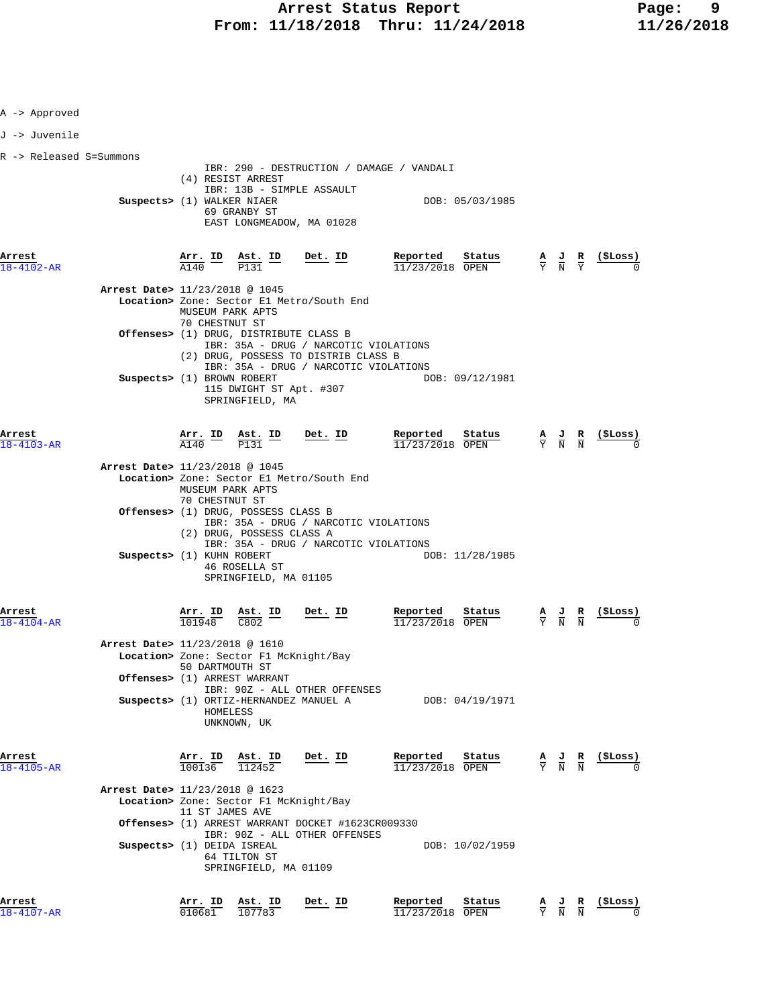| A -> Approved             |                                |                                    |                                                                                                     |                                                                                                                                                                  |                                          |                               |                                                                                                 |                                                                                                 |                                                                                                                                |
|---------------------------|--------------------------------|------------------------------------|-----------------------------------------------------------------------------------------------------|------------------------------------------------------------------------------------------------------------------------------------------------------------------|------------------------------------------|-------------------------------|-------------------------------------------------------------------------------------------------|-------------------------------------------------------------------------------------------------|--------------------------------------------------------------------------------------------------------------------------------|
| J -> Juvenile             |                                |                                    |                                                                                                     |                                                                                                                                                                  |                                          |                               |                                                                                                 |                                                                                                 |                                                                                                                                |
| R -> Released S=Summons   | Suspects> (1) WALKER NIAER     |                                    | (4) RESIST ARREST<br>69 GRANBY ST                                                                   | IBR: 290 - DESTRUCTION / DAMAGE / VANDALI<br>IBR: 13B - SIMPLE ASSAULT<br>EAST LONGMEADOW, MA 01028                                                              | DOB: 05/03/1985                          |                               |                                                                                                 |                                                                                                 |                                                                                                                                |
| Arrest<br>8-4102-AR       |                                |                                    | $\frac{\text{Arr.}}{\text{A140}}$ $\frac{\text{ID}}{\text{P131}}$ $\frac{\text{Ast.}}{\text{P131}}$ | <u>Det. ID</u>                                                                                                                                                   | Reported<br>Status<br>11/23/2018 OPEN    |                               |                                                                                                 |                                                                                                 | $\frac{\mathbf{A}}{\text{Y}}$ $\frac{\mathbf{J}}{\text{N}}$ $\frac{\mathbf{R}}{\text{Y}}$ $\frac{(\texttt{\$Loss})}{\text{N}}$ |
|                           | Arrest Date> 11/23/2018 @ 1045 | MUSEUM PARK APTS<br>70 CHESTNUT ST |                                                                                                     | Location> Zone: Sector El Metro/South End                                                                                                                        |                                          |                               |                                                                                                 |                                                                                                 |                                                                                                                                |
|                           |                                |                                    |                                                                                                     | Offenses> (1) DRUG, DISTRIBUTE CLASS B<br>IBR: 35A - DRUG / NARCOTIC VIOLATIONS<br>(2) DRUG, POSSESS TO DISTRIB CLASS B<br>IBR: 35A - DRUG / NARCOTIC VIOLATIONS |                                          |                               |                                                                                                 |                                                                                                 |                                                                                                                                |
|                           | Suspects> (1) BROWN ROBERT     |                                    | 115 DWIGHT ST Apt. #307<br>SPRINGFIELD, MA                                                          |                                                                                                                                                                  | DOB: 09/12/1981                          |                               |                                                                                                 |                                                                                                 |                                                                                                                                |
| Arrest<br>$8 - 4103 - AR$ |                                |                                    | $\frac{\text{Arr.}}{\text{A140}}$ ID $\frac{\text{Ast.}}{\text{P131}}$ ID                           | <u>Det. ID</u>                                                                                                                                                   | Reported<br>Status<br>11/23/2018 OPEN    |                               | $\frac{\mathbf{A}}{\mathbf{Y}}$ $\frac{\mathbf{J}}{\mathbf{N}}$ $\frac{\mathbf{R}}{\mathbf{N}}$ |                                                                                                 |                                                                                                                                |
|                           | Arrest Date> 11/23/2018 @ 1045 | MUSEUM PARK APTS<br>70 CHESTNUT ST |                                                                                                     | Location> Zone: Sector El Metro/South End                                                                                                                        |                                          |                               |                                                                                                 |                                                                                                 |                                                                                                                                |
|                           |                                |                                    | Offenses> (1) DRUG, POSSESS CLASS B<br>(2) DRUG, POSSESS CLASS A                                    | IBR: 35A - DRUG / NARCOTIC VIOLATIONS<br>IBR: 35A - DRUG / NARCOTIC VIOLATIONS                                                                                   |                                          |                               |                                                                                                 |                                                                                                 |                                                                                                                                |
|                           | Suspects> (1) KUHN ROBERT      |                                    | 46 ROSELLA ST<br>SPRINGFIELD, MA 01105                                                              |                                                                                                                                                                  | DOB: 11/28/1985                          |                               |                                                                                                 |                                                                                                 |                                                                                                                                |
| Arrest<br>18-4104-AR      |                                | Arr. ID<br>101948                  | Ast. ID<br>C802                                                                                     | Det. ID                                                                                                                                                          | Reported<br>Status<br>11/23/2018<br>OPEN | $rac{\mathbf{A}}{\mathbf{Y}}$ | $\frac{J}{N}$                                                                                   | $\frac{R}{N}$                                                                                   | (ŞLoss)                                                                                                                        |
|                           | Arrest Date> 11/23/2018 @ 1610 | 50 DARTMOUTH ST                    | Offenses> (1) ARREST WARRANT                                                                        | Location> Zone: Sector F1 McKnight/Bay                                                                                                                           |                                          |                               |                                                                                                 |                                                                                                 |                                                                                                                                |
|                           |                                | HOMELESS                           | UNKNOWN, UK                                                                                         | IBR: 90Z - ALL OTHER OFFENSES<br>Suspects> (1) ORTIZ-HERNANDEZ MANUEL A                                                                                          | DOB: 04/19/1971                          |                               |                                                                                                 |                                                                                                 |                                                                                                                                |
| Arrest<br>18-4105-AR      |                                | 100136                             | Arr. ID Ast. ID<br>112452                                                                           | Det. ID                                                                                                                                                          | Reported<br>Status<br>11/23/2018 OPEN    |                               |                                                                                                 | $\frac{\mathbf{A}}{\mathbf{Y}}$ $\frac{\mathbf{J}}{\mathbf{N}}$ $\frac{\mathbf{R}}{\mathbf{N}}$ | (\$Loss)                                                                                                                       |
|                           | Arrest Date> 11/23/2018 @ 1623 | 11 ST JAMES AVE                    |                                                                                                     | Location> Zone: Sector F1 McKnight/Bay<br>Offenses> (1) ARREST WARRANT DOCKET #1623CR009330                                                                      |                                          |                               |                                                                                                 |                                                                                                 |                                                                                                                                |
|                           | Suspects> (1) DEIDA ISREAL     |                                    | 64 TILTON ST<br>SPRINGFIELD, MA 01109                                                               | IBR: 90Z - ALL OTHER OFFENSES                                                                                                                                    | DOB: 10/02/1959                          |                               |                                                                                                 |                                                                                                 |                                                                                                                                |
| Arrest<br>18-4107-AR      |                                | Arr. ID<br>010681                  | Ast. ID<br>107783                                                                                   | <u>Det. ID</u>                                                                                                                                                   | Reported<br>Status<br>11/23/2018 OPEN    |                               | $\frac{A}{Y}$ $\frac{J}{N}$ $\frac{R}{N}$                                                       |                                                                                                 | <u>(ŞLoss)</u>                                                                                                                 |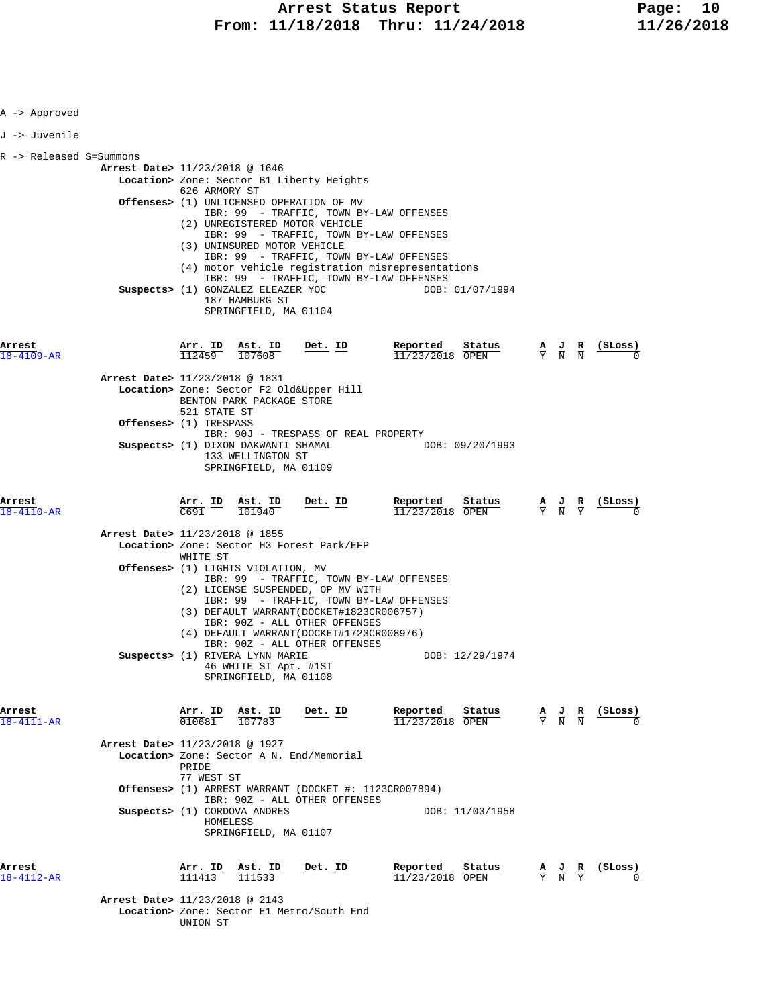| A -> Approved              |                                          |                                      |                                                                                   |                                                                                                                                                                                                                                                                                     |                                                                      |                                                                                                 |                                           |                   |
|----------------------------|------------------------------------------|--------------------------------------|-----------------------------------------------------------------------------------|-------------------------------------------------------------------------------------------------------------------------------------------------------------------------------------------------------------------------------------------------------------------------------------|----------------------------------------------------------------------|-------------------------------------------------------------------------------------------------|-------------------------------------------|-------------------|
| J -> Juvenile              |                                          |                                      |                                                                                   |                                                                                                                                                                                                                                                                                     |                                                                      |                                                                                                 |                                           |                   |
| R -> Released S=Summons    |                                          |                                      |                                                                                   |                                                                                                                                                                                                                                                                                     |                                                                      |                                                                                                 |                                           |                   |
|                            | Arrest Date> 11/23/2018 @ 1646           | 626 ARMORY ST                        | (3) UNINSURED MOTOR VEHICLE                                                       | Location> Zone: Sector B1 Liberty Heights<br><b>Offenses&gt;</b> (1) UNLICENSED OPERATION OF MV<br>IBR: 99 - TRAFFIC, TOWN BY-LAW OFFENSES<br>(2) UNREGISTERED MOTOR VEHICLE<br>IBR: 99 - TRAFFIC, TOWN BY-LAW OFFENSES<br>IBR: 99 - TRAFFIC, TOWN BY-LAW OFFENSES                  |                                                                      |                                                                                                 |                                           |                   |
|                            |                                          |                                      | Suspects> (1) GONZALEZ ELEAZER YOC<br>187 HAMBURG ST<br>SPRINGFIELD, MA 01104     | IBR: 99 - TRAFFIC, TOWN BY-LAW OFFENSES                                                                                                                                                                                                                                             | (4) motor vehicle registration misrepresentations<br>DOB: 01/07/1994 |                                                                                                 |                                           |                   |
| Arrest<br>$18 - 4109 - AR$ |                                          |                                      | $\frac{\text{Arr.}}{112459}$ $\frac{\text{Ast.}}{107608}$                         | <u>Det. ID</u>                                                                                                                                                                                                                                                                      | Reported<br>Status<br>$11/23/2018$ OPEN                              | $\frac{A}{Y}$ $\frac{J}{N}$ $\frac{R}{N}$                                                       |                                           | <u>(SLoss)</u>    |
|                            | Arrest Date> 11/23/2018 @ 1831           |                                      |                                                                                   |                                                                                                                                                                                                                                                                                     |                                                                      |                                                                                                 |                                           |                   |
|                            |                                          | 521 STATE ST                         | BENTON PARK PACKAGE STORE                                                         | Location> Zone: Sector F2 Old&Upper Hill                                                                                                                                                                                                                                            |                                                                      |                                                                                                 |                                           |                   |
|                            | <b>Offenses&gt;</b> (1) TRESPASS         |                                      |                                                                                   | IBR: 90J - TRESPASS OF REAL PROPERTY                                                                                                                                                                                                                                                |                                                                      |                                                                                                 |                                           |                   |
|                            |                                          |                                      | Suspects> (1) DIXON DAKWANTI SHAMAL<br>133 WELLINGTON ST<br>SPRINGFIELD, MA 01109 |                                                                                                                                                                                                                                                                                     | DOB: 09/20/1993                                                      |                                                                                                 |                                           |                   |
| Arrest<br>$18 - 4110 - AR$ |                                          | $\frac{\text{Arr.}}{\text{C691}}$ ID | Ast. ID<br>101940                                                                 | <u>Det. ID</u>                                                                                                                                                                                                                                                                      | Reported<br>Stat <u>us</u><br>11/23/2018 OPEN                        | $\frac{A}{Y}$ $\frac{J}{N}$ $\frac{R}{Y}$                                                       |                                           | <u>(ŞLoss)</u>    |
|                            | Arrest Date> 11/23/2018 @ 1855           | WHITE ST                             |                                                                                   | Location> Zone: Sector H3 Forest Park/EFP                                                                                                                                                                                                                                           |                                                                      |                                                                                                 |                                           |                   |
|                            |                                          |                                      | Offenses> (1) LIGHTS VIOLATION, MV                                                | IBR: 99 - TRAFFIC, TOWN BY-LAW OFFENSES<br>(2) LICENSE SUSPENDED, OP MV WITH<br>IBR: 99 - TRAFFIC, TOWN BY-LAW OFFENSES<br>(3) DEFAULT WARRANT (DOCKET#1823CR006757)<br>IBR: 90Z - ALL OTHER OFFENSES<br>(4) DEFAULT WARRANT (DOCKET#1723CR008976)<br>IBR: 90Z - ALL OTHER OFFENSES |                                                                      |                                                                                                 |                                           |                   |
|                            |                                          |                                      | Suspects> (1) RIVERA LYNN MARIE<br>46 WHITE ST Apt. #1ST<br>SPRINGFIELD, MA 01108 |                                                                                                                                                                                                                                                                                     | DOB: 12/29/1974                                                      |                                                                                                 |                                           |                   |
| Arrest<br>$18 - 4111 - AR$ |                                          |                                      | Arr. ID Ast. ID<br>$010681$ $107783$                                              | Det. ID                                                                                                                                                                                                                                                                             | Reported<br>Status<br>11/23/2018 OPEN                                |                                                                                                 | $\frac{A}{Y}$ $\frac{J}{N}$ $\frac{R}{N}$ | (ŞLoss)           |
|                            | Arrest Date> 11/23/2018 @ 1927           | PRIDE                                |                                                                                   | Location> Zone: Sector A N. End/Memorial                                                                                                                                                                                                                                            |                                                                      |                                                                                                 |                                           |                   |
|                            |                                          | 77 WEST ST                           |                                                                                   | <b>Offenses&gt;</b> (1) ARREST WARRANT (DOCKET #: $1123CR007894$ )<br>IBR: 90Z - ALL OTHER OFFENSES                                                                                                                                                                                 |                                                                      |                                                                                                 |                                           |                   |
|                            |                                          | HOMELESS                             | Suspects> (1) CORDOVA ANDRES<br>SPRINGFIELD, MA 01107                             |                                                                                                                                                                                                                                                                                     | DOB: 11/03/1958                                                      |                                                                                                 |                                           |                   |
| Arrest<br>18-4112-AR       | <b>Arrest Date&gt;</b> 11/23/2018 @ 2143 | <u>Arr. ID</u><br>111413             | Ast. ID<br>111533                                                                 | $Det$ . ID                                                                                                                                                                                                                                                                          | Reported<br>Status<br>11/23/2018 OPEN                                | $\frac{\mathbf{A}}{\mathbf{Y}}$ $\frac{\mathbf{J}}{\mathbf{N}}$ $\frac{\mathbf{R}}{\mathbf{Y}}$ |                                           | <u>( ŞLos</u> s ) |
|                            |                                          | UNION ST                             |                                                                                   | Location> Zone: Sector El Metro/South End                                                                                                                                                                                                                                           |                                                                      |                                                                                                 |                                           |                   |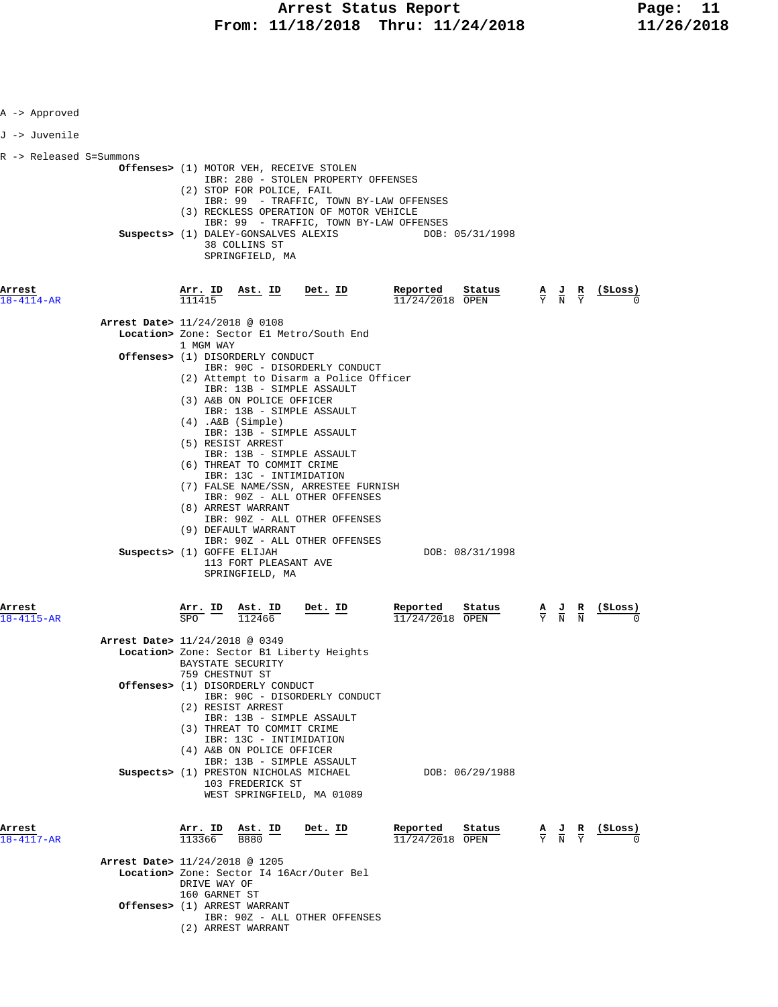| A -> Approved           |                                                                                                                                                                                                                                                                                                                                                                                                                                                                                                                                                                                                    |                                         |                                                                                                       |                                                               |
|-------------------------|----------------------------------------------------------------------------------------------------------------------------------------------------------------------------------------------------------------------------------------------------------------------------------------------------------------------------------------------------------------------------------------------------------------------------------------------------------------------------------------------------------------------------------------------------------------------------------------------------|-----------------------------------------|-------------------------------------------------------------------------------------------------------|---------------------------------------------------------------|
| J -> Juvenile           |                                                                                                                                                                                                                                                                                                                                                                                                                                                                                                                                                                                                    |                                         |                                                                                                       |                                                               |
| R -> Released S=Summons | <b>Offenses&gt;</b> (1) MOTOR VEH, RECEIVE STOLEN<br>IBR: 280 - STOLEN PROPERTY OFFENSES<br>(2) STOP FOR POLICE, FAIL<br>IBR: 99 - TRAFFIC, TOWN BY-LAW OFFENSES<br>(3) RECKLESS OPERATION OF MOTOR VEHICLE<br>IBR: 99 - TRAFFIC, TOWN BY-LAW OFFENSES<br>Suspects> (1) DALEY-GONSALVES ALEXIS<br>38 COLLINS ST                                                                                                                                                                                                                                                                                    | DOB: 05/31/1998                         |                                                                                                       |                                                               |
|                         | SPRINGFIELD, MA                                                                                                                                                                                                                                                                                                                                                                                                                                                                                                                                                                                    |                                         |                                                                                                       |                                                               |
| Arrest<br>18-4114-AR    | Arr. ID<br>Ast. ID<br><u>Det. ID</u><br>111415                                                                                                                                                                                                                                                                                                                                                                                                                                                                                                                                                     | Reported<br>Status<br>$11/24/2018$ OPEN |                                                                                                       | $\frac{A}{Y}$ $\frac{J}{N}$ $\frac{R}{Y}$ $\frac{($Loss)}{0}$ |
|                         | Arrest Date> 11/24/2018 @ 0108<br>Location> Zone: Sector E1 Metro/South End                                                                                                                                                                                                                                                                                                                                                                                                                                                                                                                        |                                         |                                                                                                       |                                                               |
|                         | 1 MGM WAY<br><b>Offenses&gt;</b> (1) DISORDERLY CONDUCT                                                                                                                                                                                                                                                                                                                                                                                                                                                                                                                                            |                                         |                                                                                                       |                                                               |
|                         | IBR: 90C - DISORDERLY CONDUCT<br>(2) Attempt to Disarm a Police Officer<br>IBR: 13B - SIMPLE ASSAULT<br>(3) A&B ON POLICE OFFICER<br>IBR: 13B - SIMPLE ASSAULT<br>$(4)$ . A&B $(Simple)$<br>IBR: 13B - SIMPLE ASSAULT<br>(5) RESIST ARREST<br>IBR: 13B - SIMPLE ASSAULT<br>(6) THREAT TO COMMIT CRIME<br>IBR: 13C - INTIMIDATION<br>(7) FALSE NAME/SSN, ARRESTEE FURNISH<br>IBR: 90Z - ALL OTHER OFFENSES<br>(8) ARREST WARRANT<br>IBR: 90Z - ALL OTHER OFFENSES<br>(9) DEFAULT WARRANT<br>IBR: 90Z - ALL OTHER OFFENSES<br>Suspects> (1) GOFFE ELIJAH<br>113 FORT PLEASANT AVE<br>SPRINGFIELD, MA | DOB: 08/31/1998                         |                                                                                                       |                                                               |
| Arrest<br>18-4115-AR    | $\frac{\text{Arr.}}{\text{SPO}}$ ID<br>Ast. ID<br>Det. ID<br>112466                                                                                                                                                                                                                                                                                                                                                                                                                                                                                                                                | Reported<br>Status<br>11/24/2018 OPEN   | $\frac{\mathbf{A}}{\overline{Y}}$ $\frac{\mathbf{J}}{\overline{N}}$ $\frac{\mathbf{R}}{\overline{N}}$ | (ŞLoss)                                                       |
|                         | Arrest Date> 11/24/2018 @ 0349<br>Location> Zone: Sector B1 Liberty Heights<br>BAYSTATE SECURITY<br>759 CHESTNUT ST                                                                                                                                                                                                                                                                                                                                                                                                                                                                                |                                         |                                                                                                       |                                                               |
|                         | <b>Offenses&gt;</b> (1) DISORDERLY CONDUCT<br>IBR: 90C - DISORDERLY CONDUCT                                                                                                                                                                                                                                                                                                                                                                                                                                                                                                                        |                                         |                                                                                                       |                                                               |
|                         | (2) RESIST ARREST<br>IBR: 13B - SIMPLE ASSAULT<br>(3) THREAT TO COMMIT CRIME<br>IBR: 13C - INTIMIDATION<br>(4) A&B ON POLICE OFFICER<br>IBR: 13B - SIMPLE ASSAULT<br>Suspects> (1) PRESTON NICHOLAS MICHAEL<br>103 FREDERICK ST<br>WEST SPRINGFIELD, MA 01089                                                                                                                                                                                                                                                                                                                                      | DOB: 06/29/1988                         |                                                                                                       |                                                               |
| Arrest<br>18-4117-AR    | Arr. ID Ast. ID<br>Det. ID<br>113366<br><b>B880</b>                                                                                                                                                                                                                                                                                                                                                                                                                                                                                                                                                | Reported<br>Status<br>11/24/2018 OPEN   | $\frac{A}{Y}$ $\frac{J}{N}$ $\frac{R}{Y}$                                                             | (ŞLoss)                                                       |
|                         | <b>Arrest Date&gt;</b> 11/24/2018 @ 1205<br>Location> Zone: Sector I4 16Acr/Outer Bel<br>DRIVE WAY OF<br>160 GARNET ST<br>Offenses> (1) ARREST WARRANT                                                                                                                                                                                                                                                                                                                                                                                                                                             |                                         |                                                                                                       |                                                               |
|                         | IBR: 90Z - ALL OTHER OFFENSES<br>(2) ARREST WARRANT                                                                                                                                                                                                                                                                                                                                                                                                                                                                                                                                                |                                         |                                                                                                       |                                                               |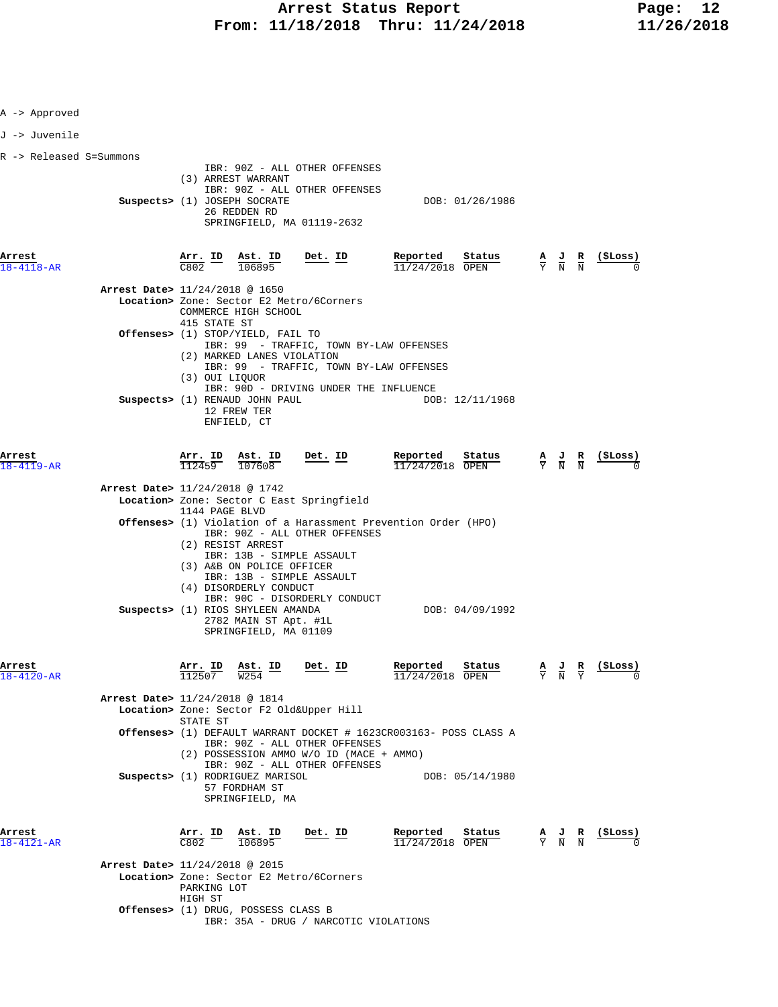| A -> Approved                  |                                              |                                                                                                                                        |                                                                                                                          |                                                                                             |                                                                                                 |                               |                                                    |
|--------------------------------|----------------------------------------------|----------------------------------------------------------------------------------------------------------------------------------------|--------------------------------------------------------------------------------------------------------------------------|---------------------------------------------------------------------------------------------|-------------------------------------------------------------------------------------------------|-------------------------------|----------------------------------------------------|
| J -> Juvenile                  |                                              |                                                                                                                                        |                                                                                                                          |                                                                                             |                                                                                                 |                               |                                                    |
| R -> Released S=Summons        |                                              |                                                                                                                                        |                                                                                                                          |                                                                                             |                                                                                                 |                               |                                                    |
|                                |                                              | (3) ARREST WARRANT<br>Suspects> (1) JOSEPH SOCRATE<br>26 REDDEN RD                                                                     | IBR: 90Z - ALL OTHER OFFENSES<br>IBR: 90Z - ALL OTHER OFFENSES<br>SPRINGFIELD, MA 01119-2632                             | DOB: 01/26/1986                                                                             |                                                                                                 |                               |                                                    |
| Arrest<br>8-4118-AR            | $\frac{\text{Arr.}}{\text{C802}}$ ID<br>C802 | $\frac{\texttt{Ast.}}{106895}$                                                                                                         | Det. ID                                                                                                                  | Reported<br>Stat <u>us</u><br>11/24/2018 OPEN                                               | $\frac{\mathbf{A}}{\mathbf{Y}}$ $\frac{\mathbf{J}}{\mathbf{N}}$ $\frac{\mathbf{R}}{\mathbf{N}}$ |                               | <u>(ŞLoss)</u>                                     |
| Arrest Date> 11/24/2018 @ 1650 | 415 STATE ST                                 | COMMERCE HIGH SCHOOL                                                                                                                   | Location> Zone: Sector E2 Metro/6Corners                                                                                 |                                                                                             |                                                                                                 |                               |                                                    |
|                                |                                              | Offenses> (1) STOP/YIELD, FAIL TO<br>(2) MARKED LANES VIOLATION                                                                        |                                                                                                                          | IBR: 99 - TRAFFIC, TOWN BY-LAW OFFENSES<br>IBR: 99 - TRAFFIC, TOWN BY-LAW OFFENSES          |                                                                                                 |                               |                                                    |
|                                | (3) OUI LIOUOR                               | Suspects> (1) RENAUD JOHN PAUL<br>12 FREW TER<br>ENFIELD, CT                                                                           | IBR: 90D - DRIVING UNDER THE INFLUENCE                                                                                   | DOB: 12/11/1968                                                                             |                                                                                                 |                               |                                                    |
| Arrest<br>18-4119-AR           | Arr. ID<br>112459                            | Ast. ID<br>107608                                                                                                                      | $Det. ID$                                                                                                                | Reported<br>Status<br>$11/24/2018$ OPEN                                                     |                                                                                                 |                               | $\frac{A}{Y}$ $\frac{J}{N}$ $\frac{R}{N}$ (\$Loss) |
| Arrest Date> 11/24/2018 @ 1742 | 1144 PAGE BLVD                               |                                                                                                                                        | Location> Zone: Sector C East Springfield                                                                                |                                                                                             |                                                                                                 |                               |                                                    |
|                                |                                              | (2) RESIST ARREST<br>(3) A&B ON POLICE OFFICER<br>(4) DISORDERLY CONDUCT<br>Suspects> (1) RIOS SHYLEEN AMANDA<br>2782 MAIN ST Apt. #1L | IBR: 90Z - ALL OTHER OFFENSES<br>IBR: 13B - SIMPLE ASSAULT<br>IBR: 13B - SIMPLE ASSAULT<br>IBR: 90C - DISORDERLY CONDUCT | <b>Offenses&gt;</b> (1) Violation of a Harassment Prevention Order (HPO)<br>DOB: 04/09/1992 |                                                                                                 |                               |                                                    |
| Arrest<br>$18 - 4120 - AR$     | Arr. ID<br>112507                            | SPRINGFIELD, MA 01109<br><u>Ast. ID</u><br>W <sub>254</sub>                                                                            | Det. ID                                                                                                                  | Reported<br>Status<br>11/24/2018 OPEN                                                       | $\frac{A}{Y}$ $\frac{J}{N}$                                                                     | $rac{\mathbf{R}}{\mathbf{Y}}$ | (ŞLoss)                                            |
| Arrest Date> 11/24/2018 @ 1814 | STATE ST                                     |                                                                                                                                        | Location> Zone: Sector F2 Old&Upper Hill                                                                                 |                                                                                             |                                                                                                 |                               |                                                    |
|                                |                                              |                                                                                                                                        | IBR: 90Z - ALL OTHER OFFENSES<br>(2) POSSESSION AMMO W/O ID (MACE + AMMO)<br>IBR: 90Z - ALL OTHER OFFENSES               | <b>Offenses&gt;</b> (1) DEFAULT WARRANT DOCKET # 1623CR003163- POSS CLASS A                 |                                                                                                 |                               |                                                    |
|                                |                                              | Suspects> (1) RODRIGUEZ MARISOL<br>57 FORDHAM ST<br>SPRINGFIELD, MA                                                                    |                                                                                                                          | DOB: 05/14/1980                                                                             |                                                                                                 |                               |                                                    |
| Arrest<br>$18 - 4121 - AR$     | C802                                         | Arr. ID Ast. ID<br>106895                                                                                                              | Det. ID                                                                                                                  | Reported<br>Status<br>$11/24/2018$ OPEN                                                     | $\frac{A}{Y}$ $\frac{J}{N}$ $\frac{R}{N}$                                                       |                               | $(_{\rm{5Loss}})$                                  |
| Arrest Date> 11/24/2018 @ 2015 | PARKING LOT<br>HIGH ST                       |                                                                                                                                        | Location> Zone: Sector E2 Metro/6Corners                                                                                 |                                                                                             |                                                                                                 |                               |                                                    |
|                                |                                              | Offenses> (1) DRUG, POSSESS CLASS B                                                                                                    | IBR: 35A - DRUG / NARCOTIC VIOLATIONS                                                                                    |                                                                                             |                                                                                                 |                               |                                                    |